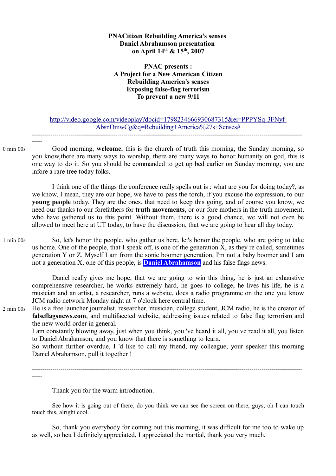# **PNACitizen Rebuilding America's senses Daniel Abrahamson presentation on April 14th & 15th, 2007**

# **PNAC presents : A Project for a New American Citizen Rebuilding America's senses Exposing false-flag terrorism To prevent a new 9/11**

# http://video.google.com/videoplay?docid=1798234666930687315&ei=PPPYSq-3FNyf-AbsnOmwCg&q=Rebuilding+America%27s+Senses# -------------------------------------------------------------------------------------------------------------------------------------

-----

Good morning, **welcome**, this is the church of truth this morning, the Sunday morning, so you know,there are many ways to worship, there are many ways to honor humanity on god, this is one way to do it. So you should be commanded to get up bed earlier on Sunday morning, you are infore a rare tree today folks. 0 min 00s

I think one of the things the conference really spells out is : what are you for doing today?, as we know, I mean, they are our hope, we have to pass the torch, if you excuse the expression, to our **young people** today. They are the ones, that need to keep this going, and of course you know, we need our thanks to our forefathers for **truth movements**, or our fore mothers in the truth movement, who have gathered us to this point. Without them, there is a good chance, we will not even be allowed to meet here at UT today, to have the discussion, that we are going to hear all day today.

So, let's honor the people, who gather us here, let's honor the people, who are going to take us home. One of the people, that I speak off, is one of the generation X, as they re called, sometimes generation Y or Z. Myself I am from the sonic boomer generation, I'm not a baby boomer and I am not a generation X, one of this people, is **Daniel Abrahamson** and his false flags news. 1 min 00s

Daniel really gives me hope, that we are going to win this thing, he is just an exhaustive comprehensive researcher, he works extremely hard, he goes to college, he lives his life, he is a musician and an artist, a researcher, runs a website, does a radio programme on the one you know JCM radio network Monday night at 7 o'clock here central time.

He is a free launcher journalist, researcher, musician, college student, JCM radio, he is the creator of **falseflagsnews.com**, and multifaceted website, addressing issues related to false flag terrorism and the new world order in general. 2 min 00s

I am constantly blowing away, just when you think, you 've heard it all, you ve read it all, you listen to Daniel Abrahamson, and you know that there is something to learn.

So without further overdue, I 'd like to call my friend, my colleague, your speaker this morning Daniel Abrahamson, pull it together !

------------------------------------------------------------------------------------------------------------------------------------- -----

Thank you for the warm introduction.

See how it is going out of there, do you think we can see the screen on there, guys, oh I can touch touch this, alright cool.

So, thank you everybody for coming out this morning, it was difficult for me too to wake up as well, so heu I definitely appreciated, I appreciated the martial**,** thank you very much.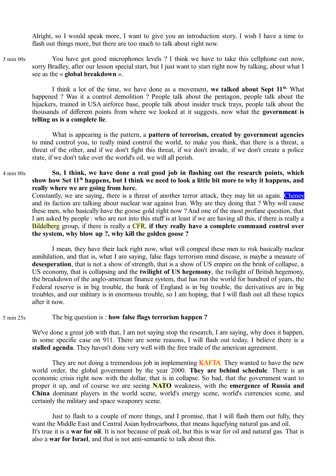Alright, so I would speak more, I want to give you an introduction story, I wish I have a time to flash out things more, but there are too much to talk about right now.

You have got good microphones levels ? I think we have to take this cellphone out now, sorry Bradley, after our lesson special start, but I just want to start right now by talking, about what I see as the « **global breakdown** ». 3 min 00s

I think a lot of the time, we have done as a movement, **we talked about Sept 11th.** What happened ? Was it a control demolition ? People talk about the pentagon, people talk about the hijackers, trained in USA airforce base, people talk about insider truck trays, people talk about the thousands of different points from where we looked at it suggests, now what the **government is telling us is a complete lie**.

What is appearing is the pattern, a **pattern of terrorism, created by government agencies** to mind control you, to really mind control the world, to make you think, that there is a threat, a threat of the other, and if we don't fight this threat, if we don't invade, if we don't create a police state, if we don't take over the world's oil, we will all perish.

#### **So, I think, we have done a real good job in flashing out the research points, which show how Set 11th happens, but I think we need to look a little bit more to why it happens, and really where we are going from here.**  4 min 00s

Constantly, we are saying, there is a threat of another terror attack, they may hit us again. Cheney and its faction are talking about nuclear war against Iran. Why are they doing that ? Why will cause these men, who basically have the goose gold right now ? And one of the most profane question, that I am asked by people : who are not into this stuff is at least if we are having all this, if there is really a Bildelberg group, if there is really a CFR, **if they really have a complete command control over the system, why blow up ?, why kill the golden goose ?** 

I mean, they have their luck right now, what will compeal these men to risk basically nuclear annihilation, and that is, what I am saying, false flags terrorism mind disease, is maybe a measure of **desesperation**, that is not a show of strength, that is a show of US empire on the brink of collapse, a US economy, that is collapsing and the **twilight of US hegemony**, the twilight of British hegemony, the breakdown of the anglo-american finance system, that has run the world for hundred of years, the Federal reserve is in big trouble, the bank of England is in big trouble, the derivatives are in big troubles, and our military is in enormous trouble, so I am hoping, that I will flash out all these topics after it now.

#### The big question is : **how false flags terrorism happen ?** 5 min 25s

We've done a great job with that, I am not saying stop the research, I am saying, why does it happen, in some specific case on 911. There are some reasons, I will flash out today, I believe there is a **stalled agenda**. They haven't done very well with the free trade of the american agreement.

They are not doing a tremendous job in implementing **KAFTA**. They wanted to have the new world order, the global government by the year 2000. **They are behind schedule**. There is an economic crisis right now with the dollar, that is in collapse. So bad, that the government want to proper it up, and of course we are seeing **NATO** weakness, with the **emergence of Russia and China** dominant players in the world scene, world's energy scene, world's currencies scene, and certainly the military and space weaponry scene.

Just to flash to a couple of more things, and I promise, that I will flash them out fully, they want the Middle East and Central Asian hydrocarbons, that means liquefying natural gas and oil. It's true it is a **war for oil**. It is not because of peak oil, but this is war for oil and natural gas. That is also a **war for Israel**, and that is not anti-semantic to talk about this.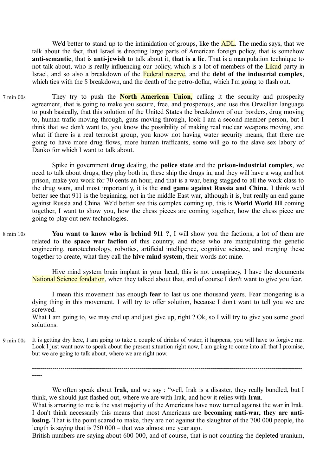We'd better to stand up to the intimidation of groups, like the **ADL**. The media says, that we talk about the fact, that Israel is directing large parts of American foreign policy, that is somehow **anti-semantic**, that is **anti-jewish** to talk about it, **that is a lie**. That is a manipulation technique to not talk about, who is really influencing our policy, which is a lot of members of the Likud party in Israel, and so also a breakdown of the Federal reserve, and the **debt of the industrial complex**, which ties with the \$ breakdown, and the death of the petro-dollar, which I'm going to flash out.

They try to push the **North American Union**, calling it the security and prosperity agreement, that is going to make you secure, free, and prosperous, and use this Orwellian language to push basically, that this solution of the United States the breakdown of our borders, drug moving to, human trafic moving through, guns moving through, look I am a second member person, but I think that we don't want to, you know the possibility of making real nuclear weapons moving, and what if there is a real terrorist group, you know not having water security means, that there are going to have more drug flows, more human trafficants, some will go to the slave sex labory of Danko for which I want to talk about. 7 min 00s

Spike in government **drug** dealing, the **police state** and the **prison-industrial complex**, we need to talk about drugs, they play both in, these ship the drugs in, and they will have a wag and hot prison, make you work for 70 cents an hour, and that is a war, being stagged to all the work class to the drug wars, and most importantly, it is the **end game against Russia and China**, I think we'd better see that 911 is the beginning, not in the middle East war, although it is, but really an end game against Russia and China. We'd better see this complex coming up, this is **World World III** coming together, I want to show you, how the chess pieces are coming together, how the chess piece are going to play out new technologies.

**You want to know who is behind 911 ?**, I will show you the factions, a lot of them are related to the **space war faction** of this country, and those who are manipulating the genetic engineering, nanotechnology, robotics, artificial intelligence, cognitive science, and merging these together to create, what they call the **hive mind system**, their words not mine. 8 min 10s

Hive mind system brain implant in your head, this is not conspiracy, I have the documents National Science fondation, when they talked about that, and of course I don't want to give you fear.

I mean this movement has enough **fear** to last us one thousand years. Fear mongering is a dying thing in this movement. I will try to offer solution, because I don't want to tell you we are screwed.

What I am going to, we may end up and just give up, right ? Ok, so I will try to give you some good solutions.

It is getting dry here, I am going to take a couple of drinks of water, it happens, you will have to forgive me. Look I just want now to speak about the present situation right now, I am going to come into all that I promise, but we are going to talk about, where we are right now. 9 min 00s

------------------------------------------------------------------------------------------------------------------------------------- -----

We often speak about **Irak**, and we say : "well, Irak is a disaster, they really bundled, but I think, we should just flashed out, where we are with Irak, and how it relies with **Iran**.

What is amazing to me is the vast majority of the Americans have now turned against the war in Irak. I don't think necessarily this means that most Americans are **becoming anti-war, they are antilosing.** That is the point scared to make, they are not against the slaughter of the 700 000 people, the length is saying that is 750 000 – that was almost one year ago.

British numbers are saying about 600 000, and of course, that is not counting the depleted uranium,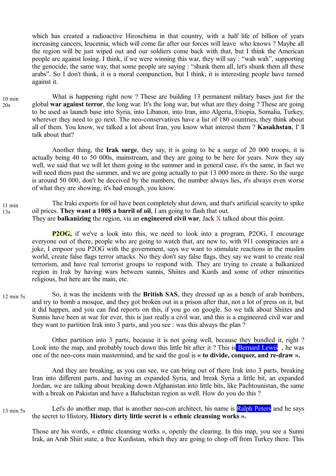which has created a radioactive Hiroschima in that country, with a half life of billion of years increasing cancers, leucemia, which will come far after our forces will leave who knows ? Maybe all the region will be just wiped out and our soldiers come back with that, but I think the American people are against losing. I think, if we were winning this war, they will say : "wah wah", supporting the genocide, the same way, that some people are saying : "shunk them all, let's shunk them all these arabs". So I don't think, it is a moral compunction, but I think, it is interesting people have turned against it.

What is happening right now ? These are building 13 permanent military bases just for the global **war against terror**, the long war. It's the long war, but what are they doing ? These are going to be used as launch base into Syria, into Libanon, into Iran, into Algeria, Etiopia, Somalia, Turkey, wherever they need to go next. The neo-conservatives have a list of 180 countries, they think about all of them. You know, we talked a lot about Iran, you know what interest them ? **Kasakhstan**, I' ll talk about that? 10 min 20s

> Another thing, the **Irak surge**, they say, it is going to be a surge of 20 000 troops, it is actually being 40 to 50 000s, mainstream, and they are going to be here for years. Now they say well, we said that we will let them going in the summer and in general case, it's the same, in fact we will need them past the summer, and we are going actually to put 13 000 more in there. So the surge is around 50 000, don't be deceived by the numbers, the number always lies, it's always even worse of what they are showing, it's bad enough, you know.

The Iraki exports for oil have been completely shut down, and that's artificial scarcity to spike oil prices. **They want a 100\$ a barril of oil**, I am going to flash that out. They are **balkanizing** the region, via an **engineered civil war**, Jack X talked about this point. 11 min 13s

**P2OG,** if we've a look into this, we need to look into a program, P2OG, I encourage everyone out of there, people who are going to watch that, are new to, with 911 conspiracies are a joke, I empoor you P2OG with the government, says we want to stimulate reactions in the muslim world, create false flags terror attacks. No they don't say false flags, they say we want to create real terrorism, and have real terrorist groups to respond with. They are trying to create a balkanized region in Irak by having wars between sunnis, Shiites and Kurds and some of other minorities religious, but here are the main, etc.

So, it was the incidents with the **British SAS**, they dressed up as a bench of arab bombers, and try to bomb a mosque, and they got broken out in a prison after that, not a lot of press on it, but it did happen, and you can find reports on this, if you go on google. So we talk about Shiites and Sunnis have been at war for ever, this is just really a civil war, and this is a engineered civil war and they want to partition Irak into 3 parts, and you see : was this always the plan ? 12 min 5s

Other partition into 3 parts, because it is not going well, because they bundled it, right ? Look into the map, and probably touch down this little bit after it? This is **Bernard Lewis**, he was one of the neo-cons main mastermind, and he said the goal is **« to divide, conquer, and re-draw ».**

And they are breaking, as you can see, we can bring out of there Irak into 3 parts, breaking Iran into different parts, and having an expanded Syria, and break Syria a little bit, an expanded Jordan, we are talking about breaking down Afghanistan into little bits, like Pachtounistan, the same with a break on Pakistan and have a Baluchstan region as well. How do you do this ?

Let's do another map, that is another neo-con architect, his name is Ralph Peters and he says the secret to History, **History dirty little secret is « ethnic cleansing works ».** 13 min 5s

Those are his words, « ethnic cleansing works », openly the clearing. In this map, you see a Sunni Irak, an Arab Shiit state, a free Kurdistan, which they are going to chop off from Turkey there. This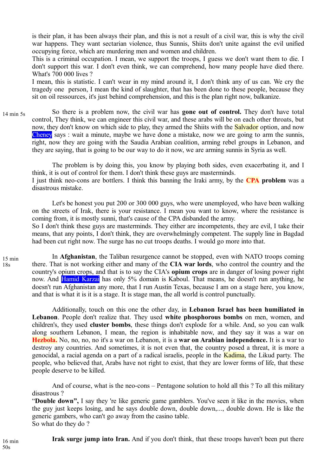is their plan, it has been always their plan, and this is not a result of a civil war, this is why the civil war happens. They want sectarian violence, thus Sunnis, Shiits don't unite against the evil unified occupying force, which are murdering men and women and children.

This is a criminal occupation. I mean, we support the troops, I guess we don't want them to die. I don't support this war. I don't even think, we can comprehend, how many people have died there. What's 700 000 lives ?

I mean, this is statistic. I can't wear in my mind around it, I don't think any of us can. We cry the tragedy one person, I mean the kind of slaughter, that has been done to these people, because they sit on oil ressources, it's just behind comprehension, and this is the plan right now, balkanize.

So there is a problem now, the civil war has **gone out of control.** They don't have total control, They think, we can engineer this civil war, and these arabs will be on each other throats, but now, they don't know on which side to play, they armed the Shiits with the **Salvador** option, and now Cheney says : wait a minute, maybe we have done a mistake, now we are going to arm the sunnis, right, now they are going with the Saudia Arabian coalition, arming rebel groups in Lebanon, and they are saying, that is going to be our way to do it now, we are arming sunnis in Syria as well. 14 min 5s

The problem is by doing this, you know by playing both sides, even exacerbating it, and I think, it is out of control for them. I don't think these guys are masterminds.

I just think neo-cons are bottlers. I think this banning the Iraki army, by the **CPA problem** was a disastrous mistake.

Let's be honest you put 200 or 300 000 guys, who were unemployed, who have been walking on the streets of Irak, there is your resistance. I mean you want to know, where the resistance is coming from, it is mostly sunni, that's cause of the CPA disbanded the army. So I don't think these guys are masterminds. They either are incompetents, they are evil, I take their means, that any points, I don't think, they are overwhelmingly competent. The supply line in Bagdad had been cut right now. The surge has no cut troops deaths. I would go more into that.

In **Afghanistan**, the Taliban resurgence cannot be stopped, even with NATO troops coming there. That is not working either and many of the **CIA war lords**, who control the country and the country's opium crops, and that is to say the CIA's **opium crops** are in danger of losing power right now. And Hamid Karzai has only 5% domain is Kaboul. That means, he doesn't run anything, he doesn't run Afghanistan any more, that I run Austin Texas, because I am on a stage here, you know, and that is what it is it is a stage. It is stage man, the all world is control punctually.

Additionally, touch on this one the other day, in **Lebanon Israel has been humiliated in Lebanon**. People don't realize that. They used **white phosphorous bombs** on men, women, and children's, they used **cluster bombs**, these things don't explode for a while. And, so you can walk along southern Lebanon, I mean, the region is inhabitable now, and they say it was a war on **Hezbola.** No, no, no, no it's a war on Lebanon, it is a **war on Arabian independence.** It is a war to destroy any countries. And sometimes, it is not even that, the country posed a threat, it is more a genocidal, a racial agenda on a part of a radical israelis, people in the Kadima, the Likud party. The people, who believed that, Arabs have not right to exist, that they are lower forms of life, that these people deserve to be killed.

And of course, what is the neo-cons – Pentagone solution to hold all this ? To all this military disastrous ?

"**Double down",** I say they 're like generic game gamblers. You've seen it like in the movies, when the guy just keeps losing, and he says double down, double down,..., double down. He is like the generic gambers, who can't go away from the casino table. So what do they do ?

**Irak surge jump into Iran.** And if you don't think, that these troops haven't been put there

15 min 18s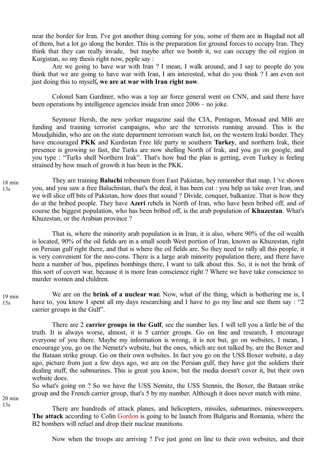near the border for Iran. I've got another thing coming for you, some of them are in Bagdad not all of them, but a lot go along the border. This is the preparation for ground forces to occupy Iran. They think that they can really invade, but maybe after we bomb it, we can occupy the oil region in Kurgistan, so my thesis right now, peple say :

Are we going to have war with Iran ? I mean, I walk around, and I say to people do you think that we are going to have war with Iran, I am interested, what do you think ? I am even not just doing this to myself**, we are at war with Iran right now**.

Colonel Sam Gardiner, who was a top air force general went on CNN, and said there have been operations by intelligence agencies inside Iran since 2006 – no joke.

Seymour Hersh, the new yorker magazine said the CIA, Pentagon, Mossad and MI6 are funding and training terrorist campaigns, who are the terrorists running around. This is the Moudjahidin, who are on the state department terrorism watch list, on the western Iraki border. They have encouraged **PKK** and Kurdistan Free life party in southern **Turkey**, and northern Irak, their presence is growing so fast, the Turks are now shelling North of Irak, and you go on google, and you type : "Turks shell Northern Irak". That's how bad the plan is getting, even Turkey is feeling strained by how much of growth it has been in the PKK.

They are training **Baluchi** tribesmen from East Pakistan, hey remember that map, I 've shown you, and you saw a free Baluchistan, that's the deal, it has been cut : you help us take over Iran, and we will slice off bits of Pakistan, how does that sound ? Divide, conquer, balkanize. That is how they do at the bribed people. They have **Azeri** rebels in North of Iran, who have been bribed off, and of course the biggest population, who has been bribed off, is the arab population of **Khuzestan**. What's Khuzestan, or the Arabian province ?

That is, where the minority arab population is in Iran, it is also, where 90% of the oil wealth is located, 90% of the oil fields are in a small south West portion of Iran, known as Khuzestan, right on Persian gulf right there, and that is where the oil fields are. So they need to rally all this people, it is very convenient for the neo-cons. There is a large arab minority population there, and there have been a number of bus, pipelines bombings there, I want to talk about this. So, it is not the brink of this sort of covert war, because it is more Iran conscience right ? Where we have take conscience to murder women and children.

We are on the **brink of a nuclear war.** Now, what of the thing, which is bothering me is, I have to, you know I spent all my days researching and I have to go my line and see them say : "2 carrier groups in the Gulf". 19 min 15s

There are 2 **carrier groups in the Gulf**, see the number lies. I will tell you a little bit of the truth. It is always worse, almost, it is 5 carrier groups. Go on line and research, I encourage everyone of you there. Maybe my information is wrong, it is not but, go on websites, I mean, I encourage you, go on the Nemetz's website, but the ones, which are not talked by, are the Boxer and the Bataan strike group. Go on their own websites. In fact you go on the USS Boxer website, a day ago, picture from just a few days ago, we are on the Persian gulf, they have got the soldiers their dealing stuff, the submarines. This is great you know, but the media doesn't cover it, but their own website does.

So what's going on ? So we have the USS Nemitz, the USS Stennis, the Boxer, the Bataan strike group and the French carrier group, that's 5 by my number. Although it does never match with mine.

20 min 13s

There are hundreds of attack planes, and helicopters, missiles, submarines, minesweepers. **The attack** according to Colin Gordon is going to be launch from Bulgaria and Romania, where the B2 bombers will refuel and drop their nuclear munitions.

Now when the troops are arriving ? I've just gone on line to their own websites, and their

18 min 13s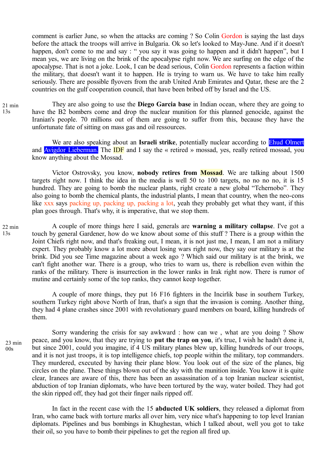comment is earlier June, so when the attacks are coming ? So Colin Gordon is saying the last days before the attack the troops will arrive in Bulgaria. Ok so let's looked to May-June. And if it doesn't happen, don't come to me and say : " you say it was going to happen and it didn't happen", but I mean yes, we are living on the brink of the apocalypse right now. We are surfing on the edge of the apocalypse. That is not a joke. Look, I can be dead serious, Colin Gordon represents a faction within the military, that doesn't want it to happen. He is trying to warn us. We have to take him really seriously. There are possible flyovers from the arab United Arab Emirates and Qatar, these are the 2 countries on the gulf cooperation council, that have been bribed off by Israel and the US.

They are also going to use the **Diego Garcia base** in Indian ocean, where they are going to have the B2 bombers come and drop the nuclear munition for this planned genocide, against the Iranian's people. 70 millions out of them are going to suffer from this, because they have the unfortunate fate of sitting on mass gas and oil ressources. 21 min 13s

We are also speaking about an **Israeli strike**, potentially nuclear according to **Ehud Olmert** and Avigdor Lieberman. The **IDF** and I say the « retired » mossad, yes, really retired mossad, you know anything about the Mossad.

Victor Ostrovsky, you know, **nobody retires from Mossad**. We are talking about 1500 targets right now. I think the idea in the media is well 50 to 100 targets, no no no no, it is 15 hundred. They are going to bomb the nuclear plants, right create a new global "Tchernobo". They also going to bomb the chemical plants, the industrial plants, I mean that country, when the neo-cons like xxx says packing up, packing up, packing a lot, yeah they probably get what they want, if this plan goes through. That's why, it is imperative, that we stop them.

A couple of more things here I said, generals are **warning a military collapse**. I've got a touch by general Gardener, how do we know about some of this stuff ? There is a group within the Joint Chiefs right now, and that's freaking out, I mean, it is not just me, I mean, I am not a military expert. They probably know a lot more about losing wars right now, they say our military is at the brink. Did you see Time magazine about a week ago ? Which said our military is at the brink, we can't fight another war. There is a group, who tries to warn us, there is rebellion even within the ranks of the military. There is insurrection in the lower ranks in Irak right now. There is rumor of mutine and certainly some of the top ranks, they cannot keep together. 22 min  $13s$ 

A couple of more things, they put 16 F16 fighters in the Incirlik base in southern Turkey, southern Turkey right above North of Iran, that's a sign that the invasion is coming. Another thing, they had 4 plane crashes since 2001 with revolutionary guard members on board, killing hundreds of them.

Sorry wandering the crisis for say awkward : how can we , what are you doing ? Show peace, and you know, that they are trying to **put the trap on you**, it's true, I wish he hadn't done it, but since 2001, could you imagine, if 4 US military planes blew up, killing hundreds of our troops, and it is not just troops, it is top intelligence chiefs, top people within the military, top commanders. They murdered, executed by having their plane blow. You look out of the size of the planes, big circles on the plane. These things blown out of the sky with the munition inside. You know it is quite clear, Iranees are aware of this, there has been an assassination of a top Iranian nuclear scientist, abduction of top Iranian diplomats, who have been tortured by the way, water boiled. They had got the skin ripped off, they had got their finger nails ripped off. 23 min

 $00s$ 

In fact in the recent case with the 15 **abducted UK soldiers**, they released a diplomat from Iran, who came back with torture marks all over him, very nice what's happening to top level Iranian diplomats. Pipelines and bus bombings in Khughestan, which I talked about, well you got to take their oil, so you have to bomb their pipelines to get the region all fired up.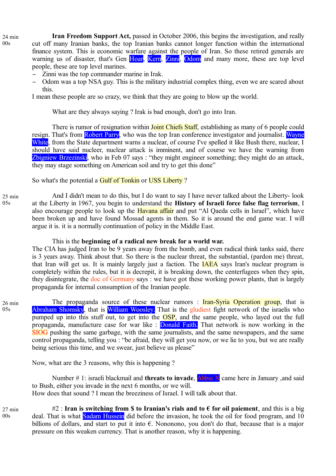**Iran Freedom Support Act,** passed in October 2006, this begins the investigation, and really cut off many Iranian banks, the top Iranian banks cannot longer function within the international finance system. This is economic warfare against the people of Iran. So these retired generals are warning us of disaster, that's Gen Hoar, Kern, Zinni, Odom and many more, these are top level people, these are top level marines.

- − Zinni was the top commander marine in Irak.
- Odom was a top NSA guy. This is the military industrial complex thing, even we are scared about this.

I mean these people are so crazy, we think that they are going to blow up the world.

What are they always saying ? Irak is bad enough, don't go into Iran.

There is rumor of resignation within **Joint Chiefs Staff**, establishing as many of 6 people could resign. That's from Robert Parry, who was the top Iran conference investigator and journalist. Wayne White, from the State department warns a nuclear, of course I've spelled it like Bush there, nuclear, I should have said nucleer, nuclear attack is imminent, and of course we have the warning from Zbigniew Brzezinski, who in Feb 07 says : "they might engineer something; they might do an attack, they may stage something on American soil and try to get this done"

So what's the potential a **Gulf of Tonkin** or USS Liberty?

And I didn't mean to do this, but I do want to say I have never talked about the Liberty- look at the Liberty in 1967, you begin to understand the **History of Israeli force false flag terrorism**, I also encourage people to look up the **Havana affair** and put "Al Qaeda cells in Israel", which have been broken up and have found Mossad agents in them. So it is around the end game war. I will argue it is. it is a normally continuation of policy in the Middle East. 25 min

# This is the **beginning of a radical new break for a world war.**

The CIA has judged Iran to be 9 years away from the bomb, and even radical think tanks said, there is 3 years away. Think about that. So there is the nuclear threat, the substantial, (pardon me) threat, that Iran will get us. It is mainly largely just a faction. The IAEA says Iran's nuclear program is completely within the rules, but it is decrepit, it is breaking down, the centerfugees when they spin, they disintegrate, the doc of Germany says : we have got these working power plants, that is largely propaganda for internal consumption of the Iranian people.

26 min  $05s$ 

 $05s$ 

The propaganda source of these nuclear rumors : **Iran-Syria Operation group**, that is Abraham Shomsky, that is William Woosley. That is the gludiest fight network of the israelis who pumped up into this stuff out, to get into the  $\overline{OSP}$ , and the same people, who layed out the full propaganda, manufacture case for war like : Donald Faith. That network is now working in the SIOG pushing the same garbage, with the same journalists, and the same newspapers, and the same control propaganda, telling you : "be afraid, they will get you now, or we lie to you, but we are really being serious this time, and we swear, just believe us please"

Now, what are the 3 reasons, why this is happening ?

Number # 1: israeli blackmail and **threats to invade**, Abbie X came here in January ,and said to Bush, either you invade in the next 6 months, or we will. How does that sound ? I mean the breeziness of Israel. I will talk about that.

27 min  $00s$ 

#2 : **Iran is switching from \$ to Iranian's rials and to**  $\epsilon$  **for oil paiement**, and this is a big deal. That is what **Sadam Hussein** did before the invasion, he took the oil for food program, and 10 billions of dollars, and start to put it into  $\epsilon$ . Nononono, you don't do that, because that is a major pressure on this weaken currency. That is another reason, why it is happening.

24 min  $00s$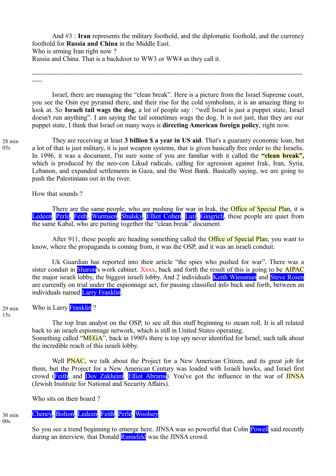And #3 : **Iran** represents the military foothold, and the diplomatic foothold, and the currency foothold for **Russia and China** in the Middle East. Who is arming Iran right now?

Russia and China. That is a backdoor to WW3 or WW4 as they call it.

------------------------------------------------------------------------------------------------------------------------------------- -----

Israel, there are managing the "clean break". Here is a picture from the Israel Supreme court, you see the Osin eye pyramid there, and their rise for the cold symbolism, it is an amazing thing to look at. So **Israeli tail wags the dog**, a lot of people say : "well Israel is just a puppet state, Israel doesn't run anything". I am saying the tail sometimes wags the dog. It is not just, that they are our puppet state, I think that Israel on many ways is **directing American foreign policy**, right now.

28 min  $0.5s$ 

They are receiving at least **3 billion \$ a year in US aid**. That's a guaranty economic loan, but a lot of that is just military, it is just weapon systems, that is given basically free order to the Israelis. In 1996, it was a document, I'm sure some of you are familiar with it called the **"clean break",** which is produced by the neo-con Likud radicals, calling for agression against Irak, Iran, Syria, Lebanon, and expanded settlements in Gaza, and the West Bank. Basically saying, we are going to push the Palestinians out in the river.

How that sounds ?

There are the same people, who are pushing for war in Irak, the **Office of Special Plan**, it is Ledeen, Perle, Feith, Wurmsen, Shulsky, Elliot Cohen, Luti, Gingrich, these people are quiet from the same Kabal, who are putting together the "clean break" document.

After 911, these people are heading something called the **Office of Special Plan**, you want to know, where the propaganda is coming from, it was the OSP, and it was an israeli conduit.

Uk Guardian has reported into their article "the spies who pushed for war". There was a sister conduit in **Sharon's** work cabinet. Xxxx, back and forth the result of this is going to be **AIPAC** the major israeli lobby, the biggest israeli lobby. And 2 individuals Keith Wiessman and Steve Rosen are currently on trial under the espionnage act, for passing classified info back and forth, between an individuals named Larry Franklin.

Who is Larry Franklin? 29 min

> The top Iran analyst on the OSP, to see all this stuff beginning to steam roll. It is all related back to an israeli espionnage network, which is still in United States operating. Something called "MEGA", back in 1990's there is top spy never identified for Israel, such talk about the incredible reach of this israeli lobby.

> Well **PNAC**, we talk about the Project for a New American Citizen, and its great job for them, but the Project for a New American Century was loaded with Israeli hawks, and Israel first crowd (Feith, and Dov Zakheim, Elliot Abrams). You've got the influence in the war of JINSA (Jewish Institute for National and Security Affairs).

Who sits on their board ?

# Cheney, Bolton, Ledeen, Feith, Perle, Woolsey.

 $00s$ 

30 min

So you see a trend beginning to emerge here. JINSA was so powerful that Colin Powell said recently during an interview, that Donald Rumsfeld was the JINSA crowd.

 $15s$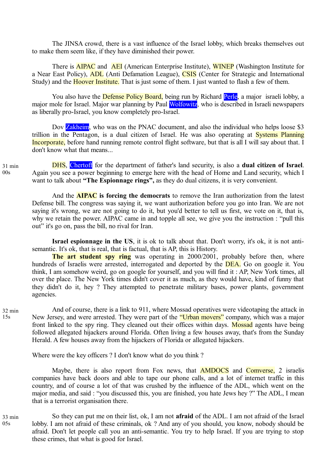The JINSA crowd, there is a vast influence of the Israel lobby, which breaks themselves out to make them seem like, if they have diminished their power.

There is **AIPAC** and **AEI** (American Enterprise Institute), **WINEP** (Washington Institute for a Near East Policy), ADL (Anti Defamation League), CSIS (Center for Strategic and International Study) and the **Hoover Institute.** That is just some of them. I just wanted to flash a few of them.

You also have the **Defense Policy Board**, being run by Richard **Perle**, a major israeli lobby, a major mole for Israel. Major war planning by Paul Wolfowitz, who is described in Israeli newspapers as liberally pro-Israel, you know completely pro-Israel.

Dov **Zakheim**, who was on the PNAC document, and also the individual who helps loose \$3 trillion in the Pentagon, is a dual citizen of Israel. He was also operating at Systems Planning Incorporate, before hand running remote control flight software, but that is all I will say about that. I don't know what that means...

31 min  $00<sub>s</sub>$ 

DHS, Chertoff for the department of father's land security, is also a **dual citizen of Israel**. Again you see a power beginning to emerge here with the head of Home and Land security, which I want to talk about **"The Espionnage rings",** as they do dual citizens, it is very convenient.

And the **AIPAC is forcing the democrats** to remove the Iran authorization from the latest Defense bill. The congress was saying it, we want authorization before you go into Iran. We are not saying it's wrong, we are not going to do it, but you'd better to tell us first, we vote on it, that is, why we retain the power. AIPAC came in and topple all see, we give you the instruction : "pull this out" it's go on, pass the bill, no rival for Iran.

**Israel espionnage in the US**, it is ok to talk about that. Don't worry, it's ok, it is not antisemantic. It's ok, that is real, that is factual, that is AP, this is History.

**The art student spy ring** was operating in 2000/2001, probably before then, where hundreds of Israelis were arrested, interrogated and deported by the **DEA**. Go on google it. You think, I am somehow weird, go on google for yourself, and you will find it : AP, New York times, all over the place. The New York times didn't cover it as much, as they would have, kind of funny that they didn't do it, hey ? They attempted to penetrate military bases, power plants, government agencies.

And of course, there is a link to 911, where Mossad operatives were videotaping the attack in New Jersey, and were arrested. They were part of the "Urban movers" company, which was a major front linked to the spy ring. They cleaned out their offices within days. Mossad agents have being followed allegated hijackers around Florida. Often living a few houses away, that's from the Sunday Herald. A few houses away from the hijackers of Florida or allegated hijackers.

Where were the key officers ? I don't know what do you think ?

Maybe, there is also report from Fox news, that **AMDOCS** and **Comverse**, 2 israelis companies have back doors and able to tape our phone calls, and a lot of internet traffic in this country, and of course a lot of that was crushed by the influence of the ADL, which went on the major media, and said : "you discussed this, you are finished, you hate Jews hey ?" The ADL, I mean that is a terrorist organisation there.

So they can put me on their list, ok, I am not **afraid** of the ADL. I am not afraid of the Israel lobby. I am not afraid of these criminals, ok ? And any of you should, you know, nobody should be afraid. Don't let people call you an anti-semantic. You try to help Israel. If you are trying to stop these crimes, that what is good for Israel. 33 min 05s

32 min 15s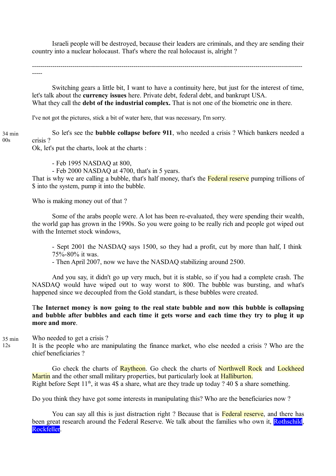Israeli people will be destroyed, because their leaders are criminals, and they are sending their country into a nuclear holocaust. That's where the real holocaust is, alright ?

------------------------------------------------------------------------------------------------------------------------------------- -----

Switching gears a little bit, I want to have a continuity here, but just for the interest of time, let's talk about the **currency issues** here. Private debt, federal debt, and bankrupt USA. What they call the **debt of the industrial complex.** That is not one of the biometric one in there.

I've not got the pictures, stick a bit of water here, that was necessary, I'm sorry.

So let's see the **bubble collapse before 911**, who needed a crisis ? Which bankers needed a crisis ? 34 min

Ok, let's put the charts, look at the charts :

- Feb 1995 NASDAQ at 800,

- Feb 2000 NASDAQ at 4700, that's in 5 years.

That is why we are calling a bubble, that's half money, that's the Federal reserve pumping trillions of \$ into the system, pump it into the bubble.

Who is making money out of that ?

00s

 $12s$ 

Some of the arabs people were. A lot has been re-evaluated, they were spending their wealth, the world gap has grown in the 1990s. So you were going to be really rich and people got wiped out with the Internet stock windows,

- Sept 2001 the NASDAQ says 1500, so they had a profit, cut by more than half, I think 75%-80% it was.

- Then April 2007, now we have the NASDAQ stabilizing around 2500.

And you say, it didn't go up very much, but it is stable, so if you had a complete crash. The NASDAQ would have wiped out to way worst to 800. The bubble was bursting, and what's happened since we decoupled from the Gold standart, is these bubbles were created.

# T**he Internet money is now going to the real state bubble and now this bubble is collapsing and bubble after bubbles and each time it gets worse and each time they try to plug it up more and more**.

Who needed to get a crisis ? 35 min

> It is the people who are manipulating the finance market, who else needed a crisis ? Who are the chief beneficiaries ?

Go check the charts of Raytheon. Go check the charts of Northwell Rock and Lockheed Martin and the other small military properties, but particularly look at **Halliburton**. Right before Sept  $11<sup>th</sup>$ , it was 4\$ a share, what are they trade up today ? 40 \$ a share something.

Do you think they have got some interests in manipulating this? Who are the beneficiaries now ?

You can say all this is just distraction right ? Because that is Federal reserve, and there has been great research around the Federal Reserve. We talk about the families who own it, Rothschild, Rockfeller.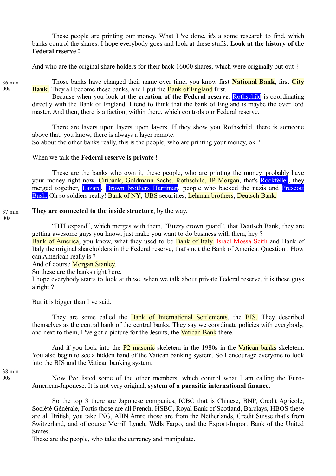These people are printing our money. What I 've done, it's a some research to find, which banks control the shares. I hope everybody goes and look at these stuffs. **Look at the history of the Federal reserve !**

And who are the original share holders for their back 16000 shares, which were originally put out ?

36 min  $00s$ 

Those banks have changed their name over time, you know first **National Bank**, first **City Bank**. They all become these banks, and I put the **Bank of England** first.

Because when you look at the **creation of the Federal reserve**, Rothschild is coordinating directly with the Bank of England. I tend to think that the bank of England is maybe the over lord master. And then, there is a faction, within there, which controls our Federal reserve.

There are layers upon layers upon layers. If they show you Rothschild, there is someone above that, you know, there is always a layer remote.

So about the other banks really, this is the people, who are printing your money, ok ?

# When we talk the **Federal reserve is private** !

These are the banks who own it, these people, who are printing the money, probably have your money right now. Citibank, Goldmann Sachs, Rothschild, JP Morgan, that's Rockfeller, they merged together, Lazard, Brown brothers Harriman, people who backed the nazis and Prescott Bush. Oh so soldiers really! Bank of NY, UBS securities, Lehman brothers, Deutsch Bank.

#### **They are connected to the inside structure**, by the way. 37 min

 $00s$ 

"BTI expand", which merges with them, "Buzzy crown guard", that Deutsch Bank, they are getting awesome guys you know; just make you want to do business with them, hey ?

Bank of America, you know, what they used to be Bank of Italy. Israel Mossa Seith and Bank of Italy the original shareholders in the Federal reserve, that's not the Bank of America. Question : How can American really is ?

And of course **Morgan Stanley**.

So these are the banks right here.

I hope everybody starts to look at these, when we talk about private Federal reserve, it is these guys alright ?

But it is bigger than I ve said.

They are some called the **Bank of International Settlements**, the **BIS**. They described themselves as the central bank of the central banks. They say we coordinate policies with everybody, and next to them, I 've got a picture for the Jesuits, the **Vatican Bank** there.

And if you look into the P2 masonic skeletem in the 1980s in the Vatican banks skeletem. You also begin to see a hidden hand of the Vatican banking system. So I encourage everyone to look into the BIS and the Vatican banking system.

38 min 00s

Now I've listed some of the other members, which control what I am calling the Euro-American-Japonese. It is not very original, **system of a parasitic international finance**.

So the top 3 there are Japonese companies, ICBC that is Chinese, BNP, Credit Agricole, Société Générale, Fortis those are all French, HSBC, Royal Bank of Scotland, Barclays, HBOS these are all British, you take ING, ABN Amro those are from the Netherlands, Credit Suisse that's from Switzerland, and of course Merrill Lynch, Wells Fargo, and the Export-Import Bank of the United States.

These are the people, who take the currency and manipulate.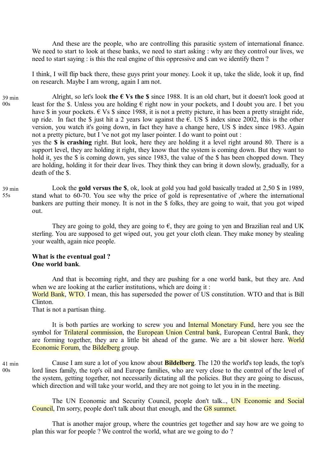And these are the people, who are controlling this parasitic system of international finance. We need to start to look at these banks, we need to start asking : why are they control our lives, we need to start saying : is this the real engine of this oppressive and can we identify them ?

I think, I will flip back there, these guys print your money. Look it up, take the slide, look it up, find on research. Maybe I am wrong, again I am not.

Alright, so let's look the  $\epsilon$  Vs the \$ since 1988. It is an old chart, but it doesn't look good at least for the \$. Unless you are holding  $\epsilon$  right now in your pockets, and I doubt you are. I bet you have \$ in your pockets.  $\epsilon$  Vs \$ since 1988, it is not a pretty picture, it has been a pretty straight ride, up ride. In fact the \$ just hit a 2 years low against the  $\epsilon$ . US \$ index since 2002, this is the other version, you watch it's going down, in fact they have a change here, US \$ index since 1983. Again not a pretty picture, but I 've not got my laser pointer. I do want to point out : yes the **\$ is crashing** right. But look, here they are holding it a level right around 80. There is a 39 min

support level, they are holding it right, they know that the system is coming down. But they want to hold it, yes the \$ is coming down, yes since 1983, the value of the \$ has been chopped down. They are holding, holding it for their dear lives. They think they can bring it down slowly, gradually, for a death of the \$.

Look the **gold versus the \$**, ok, look at gold you had gold basically traded at 2,50 \$ in 1989, stand what to 60-70. You see why the price of gold is representative of ,where the international bankers are putting their money. It is not in the \$ folks, they are going to wait, that you got wiped out. 39 min

They are going to gold, they are going to  $\epsilon$ , they are going to yen and Brazilian real and UK sterling. You are supposed to get wiped out, you get your cloth clean. They make money by stealing your wealth, again nice people.

# **What is the eventual goal ? One world bank**.

And that is becoming right, and they are pushing for a one world bank, but they are. And when we are looking at the earlier institutions, which are doing it:

World Bank, WTO. I mean, this has superseded the power of US constitution. WTO and that is Bill Clinton.

That is not a partisan thing.

It is both parties are working to screw you and **Internal Monetary Fund**, here you see the symbol for Trilateral commission, the European Union Central bank, European Central Bank, they are forming together, they are a little bit ahead of the game. We are a bit slower here. World Economic Forum, the Bildelberg group.

Cause I am sure a lot of you know about **Bildelberg**. The 120 the world's top leads, the top's lord lines family, the top's oil and Europe families, who are very close to the control of the level of the system, getting together, not necessarily dictating all the policies. But they are going to discuss, which direction and will take your world, and they are not going to let you in in the meeting. 41 min

The UN Economic and Security Council, people don't talk.., UN Economic and Social Council, I'm sorry, people don't talk about that enough, and the G8 summet.

That is another major group, where the countries get together and say how are we going to plan this war for people ? We control the world, what are we going to do ?

 $00s$ 

55s

 $00s$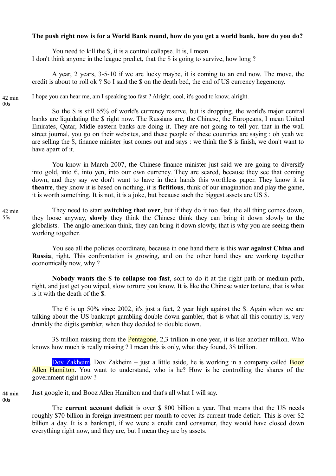# **The push right now is for a World Bank round, how do you get a world bank, how do you do?**

You need to kill the \$, it is a control collapse. It is, I mean. I don't think anyone in the league predict, that the \$ is going to survive, how long ?

A year, 2 years, 3-5-10 if we are lucky maybe, it is coming to an end now. The move, the credit is about to roll ok ? So I said the \$ on the death bed, the end of US currency hegemony.

42 min  $00s$ 

I hope you can hear me, am I speaking too fast ? Alright, cool, it's good to know, alright.

So the \$ is still 65% of world's currency reserve, but is dropping, the world's major central banks are liquidating the \$ right now. The Russians are, the Chinese, the Europeans, I mean United Emirates, Qatar, Midle eastern banks are doing it. They are not going to tell you that in the wall street journal, you go on their websites, and these people of these countries are saying : oh yeah we are selling the \$, finance minister just comes out and says : we think the \$ is finish, we don't want to have apart of it.

You know in March 2007, the Chinese finance minister just said we are going to diversify into gold, into  $\epsilon$ , into yen, into our own currency. They are scared, because they see that coming down, and they say we don't want to have in their hands this worthless paper. They know it is **theatre**, they know it is based on nothing, it is **fictitious**, think of our imagination and play the game, it is worth something. It is not, it is a joke, but because such the biggest assets are US \$.

They need to start **switching that over**, but if they do it too fast, the all thing comes down, they loose anyway, **slowly** they think the Chinese think they can bring it down slowly to the globalists. The anglo-american think, they can bring it down slowly, that is why you are seeing them working together. 42 min

You see all the policies coordinate, because in one hand there is this **war against China and Russia**, right. This confrontation is growing, and on the other hand they are working together economically now, why ?

**Nobody wants the \$ to collapse too fast**, sort to do it at the right path or medium path, right, and just get you wiped, slow torture you know. It is like the Chinese water torture, that is what is it with the death of the \$.

The  $\epsilon$  is up 50% since 2002, it's just a fact, 2 year high against the \$. Again when we are talking about the US bankrupt gambling double down gambler, that is what all this country is, very drunkly the digits gambler, when they decided to double down.

3\$ trillion missing from the Pentagone, 2,3 trillion in one year, it is like another trillion. Who knows how much is really missing ? I mean this is only, what they found, 3\$ trillion.

Dov Zakheim, Dov Zakheim – just a little aside, he is working in a company called Booz Allen Hamilton. You want to understand, who is he? How is he controlling the shares of the government right now ?

Just google it, and Booz Allen Hamilton and that's all what I will say. 44 min 41

> The **current account deficit** is over \$ 800 billion a year. That means that the US needs roughly \$70 billion in foreign investment per month to cover its current trade deficit. This is over \$2 billion a day. It is a bankrupt, if we were a credit card consumer, they would have closed down everything right now, and they are, but I mean they are by assets.

55s

 $00s$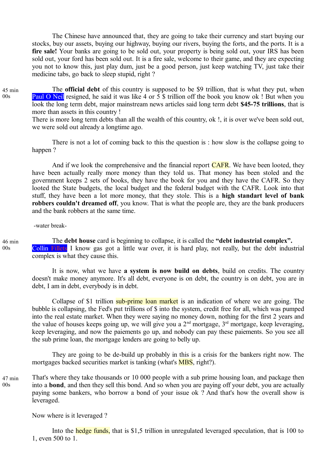The Chinese have announced that, they are going to take their currency and start buying our stocks, buy our assets, buying our highway, buying our rivers, buying the forts, and the ports. It is a **fire sale!** Your banks are going to be sold out, your property is being sold out, your IRS has been sold out, your ford has been sold out. It is a fire sale, welcome to their game, and they are expecting you not to know this, just play dum, just be a good person, just keep watching TV, just take their medicine tabs, go back to sleep stupid, right ?

The **official debt** of this country is supposed to be \$9 trillion, that is what they put, when **Paul O Neil** resigned, he said it was like 4 or 5 \$ trillion off the book you know ok ! But when you look the long term debt, major mainstream news articles said long term debt **\$45-75 trillions**, that is more than assets in this country !

There is more long term debts than all the wealth of this country, ok !, it is over we've been sold out, we were sold out already a longtime ago.

There is not a lot of coming back to this the question is : how slow is the collapse going to happen ?

And if we look the comprehensive and the financial report **CAFR**. We have been looted, they have been actually really more money than they told us. That money has been stoled and the government keeps 2 sets of books, they have the book for you and they have the CAFR. So they looted the State budgets, the local budget and the federal budget with the CAFR. Look into that stuff, they have been a lot more money, that they stole. This is a **high standart level of bank robbers couldn't dreamed off**, you know. That is what the people are, they are the bank producers and the bank robbers at the same time.

-water break-

46 min  $00s$ 

The **debt house** card is beginning to collapse, it is called the **"debt industrial complex".** Collin Fillets I know gas got a little war over, it is hard play, not really, but the debt industrial complex is what they cause this.

It is now, what we have **a system is now build on debts**, build on credits. The country doesn't make money anymore. It's all debt, everyone is on debt, the country is on debt, you are in debt, I am in debt, everybody is in debt.

Collapse of \$1 trillion sub-prime loan market is an indication of where we are going. The bubble is collapsing, the Fed's put trillions of \$ into the system, credit free for all, which was pumped into the real estate market. When they were saying no money down, nothing for the first 2 years and the value of houses keeps going up, we will give you a  $2<sup>nd</sup>$  mortgage,  $3<sup>rd</sup>$  mortgage, keep leveraging, keep leveraging, and now the paiements go up, and nobody can pay these paiements. So you see all the sub prime loan, the mortgage lenders are going to belly up.

They are going to be de-build up probably in this is a crisis for the bankers right now. The mortgages backed securities market is tanking (what's **MBS**, right?).

That's where they take thousands or 10 000 people with a sub prime housing loan, and package then into a **bond**, and then they sell this bond. And so when you are paying off your debt, you are actually paying some bankers, who borrow a bond of your issue ok ? And that's how the overall show is leveraged. 47 min  $00s$ 

Now where is it leveraged ?

Into the hedge funds, that is \$1,5 trillion in unregulated leveraged speculation, that is 100 to 1, even 500 to 1.

45 min 00s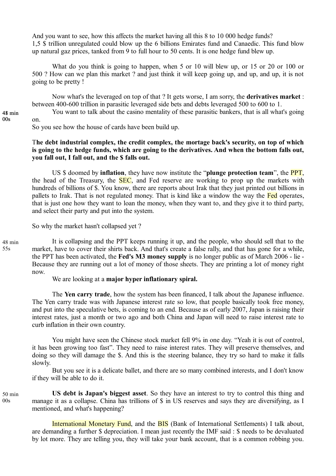And you want to see, how this affects the market having all this 8 to 10 000 hedge funds? 1,5 \$ trillion unregulated could blow up the 6 billions Emirates fund and Canaedic. This fund blow up natural gaz prices, tanked from 9 to full hour to 50 cents. It is one hedge fund blew up.

What do you think is going to happen, when 5 or 10 will blew up, or 15 or 20 or 100 or 500 ? How can we plan this market ? and just think it will keep going up, and up, and up, it is not going to be pretty !

Now what's the leveraged on top of that ? It gets worse, I am sorry, the **derivatives market** : between 400-600 trillion in parasitic leveraged side bets and debts leveraged 500 to 600 to 1.

You want to talk about the casino mentality of these parasitic bankers, that is all what's going on.

So you see how the house of cards have been build up.

# T**he debt industrial complex, the credit complex, the mortage back's security, on top of which is going to the hedge funds, which are going to the derivatives. And when the bottom falls out, you fall out, I fall out, and the \$ falls out.**

US \$ doomed by **inflation**, they have now institute the "**plunge protection team**", the PPT, the head of the Treasury, the **SEC**, and Fed reserve are working to prop up the markets with hundreds of billions of \$. You know, there are reports about Irak that they just printed out billions in pallets to Irak. That is not regulated money. That is kind like a window the way the Fed operates, that is just one how they want to loan the money, when they want to, and they give it to third party, and select their party and put into the system.

So why the market hasn't collapsed yet ?

48 min 55s

50 min  $00s$ 

It is collapsing and the PPT keeps running it up, and the people, who should sell that to the market, have to cover their shirts back. And that's create a false rally, and that has gone for a while, the PPT has been activated, the **Fed's M3 money supply** is no longer public as of March 2006 - lie - Because they are running out a lot of money of those sheets. They are printing a lot of money right now.

We are looking at a **major hyper inflationary spiral.**

The **Yen carry trade**, how the system has been financed, I talk about the Japanese influence. The Yen carry trade was with Japanese interest rate so low, that people basically took free money, and put into the speculative bets, is coming to an end. Because as of early 2007, Japan is raising their interest rates, just a month or two ago and both China and Japan will need to raise interest rate to curb inflation in their own country.

You might have seen the Chinese stock market fell 9% in one day. "Yeah it is out of control, it has been growing too fast". They need to raise interest rates. They will preserve themselves, and doing so they will damage the \$. And this is the steering balance, they try so hard to make it falls slowly.

But you see it is a delicate ballet, and there are so many combined interests, and I don't know if they will be able to do it.

**US debt is Japan's biggest asset**. So they have an interest to try to control this thing and manage it as a collapse. China has trillions of \$ in US reserves and says they are diversifying, as I mentioned, and what's happening?

International Monetary Fund, and the BIS (Bank of International Settlements) I talk about, are demanding a further \$ depreciation. I mean just recently the IMF said : \$ needs to be devaluated by lot more. They are telling you, they will take your bank account, that is a common robbing you.

48 min 00s 48 min<br>00s<br>48 min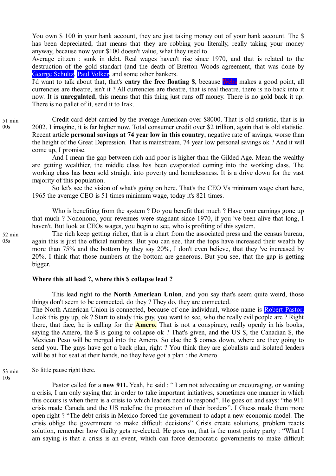You own \$ 100 in your bank account, they are just taking money out of your bank account. The \$ has been depreciated, that means that they are robbing you literally, really taking your money anyway, because now your \$100 doesn't value, what they used to.

Average citizen : sunk in debt. Real wages haven't rise since 1970, and that is related to the destruction of the gold standart (and the death of Bretton Woods agreement, that was done by George Schultz, Paul Volker, and some other bankers.

I'd want to talk about that, that's **entry the free floating \$**, because Webs makes a good point, all currencies are theatre, isn't it ? All currencies are theatre, that is real theatre, there is no back into it now. It is **unregulated**, this means that this thing just runs off money. There is no gold back it up. There is no pallet of it, send it to Irak.

Credit card debt carried by the average American over \$8000. That is old statistic, that is in 2002. I imagine, it is far higher now. Total consumer credit over \$2 trillion, again that is old statistic. Recent article **personal savings at 74 year low in this country**, negative rate of savings, worse than the height of the Great Depression. That is mainstream, 74 year low personal savings ok ? And it will come up, I promise. 51 min

And I mean the gap between rich and poor is higher than the Gilded Age. Mean the wealthy are getting wealthier, the middle class has been evaporated coming into the working class. The working class has been sold straight into poverty and homelessness. It is a drive down for the vast majority of this population.

So let's see the vision of what's going on here. That's the CEO Vs minimum wage chart here, 1965 the average CEO is 51 times minimum wage, today it's 821 times.

Who is benefiting from the system ? Do you benefit that much ? Have your earnings gone up that much ? Nononono, your revenues were stagnant since 1970, if you 've been alive that long, I haven't. But look at CEOs wages, you begin to see, who is profiting of this system.

The rich keep getting richer, that is a chart from the associated press and the census bureau, again this is just the official numbers. But you can see, that the tops have increased their wealth by more than 75% and the bottom by they say 20%, I don't even believe, that they 've increased by 20%. I think that those numbers at the bottom are generous. But you see, that the gap is getting bigger.

#### **Where this all lead ?, where this \$ collapse lead ?**

This lead right to the **North American Union**, and you say that's seem quite weird, those things don't seem to be connected, do they ? They do, they are connected.

The North American Union is connected, because of one individual, whose name is Robert Pastor. Look this guy up, ok ? Start to study this guy, you want to see, who the really evil people are ? Right there, that face, he is calling for the **Amero.** That is not a conspiracy, really openly in his books, saying the Amero, the \$ is going to collapse ok ? That's given, and the US \$, the Canadian \$, the Mexican Peso will be merged into the Amero. So else the \$ comes down, where are they going to send you. The guys have got a back plan, right ? You think they are globalists and isolated leaders will be at hot seat at their hands, no they have got a plan : the Amero.

So little pause right there. 53 min

10s

Pastor called for a **new 911.** Yeah, he said : "I am not advocating or encouraging, or wanting a crisis, I am only saying that in order to take important initiatives, sometimes one manner in which this occurs is when there is a crisis to which leaders need to respond". He goes on and says: "the 911 crisis made Canada and the US redefine the protection of their borders". I Guess made them more open right ? "The debt crisis in Mexico forced the government to adapt a new economic model. The crisis oblige the government to make difficult decisions" Crisis create solutions, problem reacts solution, remember how Guilty gets re-elected. He goes on, that is the most pointy party : "What I am saying is that a crisis is an event, which can force democratic governments to make difficult

52 min  $05s$ 

 $00s$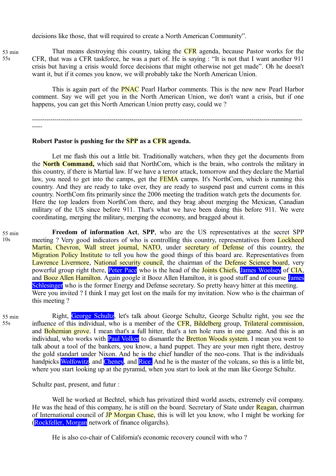decisions like those, that will required to create a North American Community".

That means destroying this country, taking the **CFR** agenda, because Pastor works for the CFR, that was a CFR taskforce, he was a part of. He is saying : "It is not that I want another 911 crisis but having a crisis would force decisions that might otherwise not get made". Oh he doesn't want it, but if it comes you know, we will probably take the North American Union.

This is again part of the **PNAC** Pearl Harbor comments. This is the new new Pearl Harbor comment. Say we will get you in the North American Union, we don't want a crisis, but if one happens, you can get this North American Union pretty easy, could we ?

-------------------------------------------------------------------------------------------------------------------------------------

#### **Robert Pastor is pushing for the SPP as a CFR agenda.**

Let me flash this out a little bit. Traditionally watchers, when they get the documents from the **North Command,** which said that NorthCom, which is the brain, who controls the military in this country, if there is Martial law. If we have a terror attack, tomorrow and they declare the Martial law, you need to get into the camps, get the **FEMA** camps. It's NorthCom, which is running this country. And they are ready to take over, they are ready to suspend past and current coms in this country. NorthCom fits primarily since the 2006 meeting the tradition watch gets the documents for. Here the top leaders from NorthCom there, and they brag about merging the Mexican, Canadian military of the US since before 911. That's what we have been doing this before 911. We were coordinating, merging the military, merging the economy, and bragged about it.

55 min 10s

**Freedom of information Act**, **SPP**, who are the US representatives at the secret SPP meeting ? Very good indicators of who is controlling this country, representatives from Lockheed Martin, Chevron, Wall street journal, NATO, under secretary of Defense of this country, the Migration Policy Institute to tell you how the good things of this board are. Representatives from Lawrence Livermore, National security council, the chairman of the Defense Science board, very powerful group right there, Peter Pace who is the head of the Joints Chiefs, James Woolsey of CIA, and **Booz Allen Hamilton**. Again google it Booz Allen Hamilton, it is good stuff and of course James Schlesinger who is the former Energy and Defense secretary. So pretty heavy hitter at this meeting. Were you invited ? I think I may get lost on the mails for my invitation. Now who is the chairman of this meeting ?

55 min 55s

Right, George Schultz, let's talk about George Schultz, George Schultz right, you see the influence of this individual, who is a member of the CFR, Bildelberg group, Trilateral commission, and **Bohemian grove**. I mean that's a full hitter, that's a ten hole runs in one game. And this is an individual, who works with **Paul Volker** to dismantle the **Bretton Woods system**. I mean you went to talk about a tool of the bankers, you know, a hand puppet. They are your men right there, destroy the gold standart under Nixon. And he is the chief handler of the neo-cons. That is the individuals handpicks Wolfowitz, and Cheney, and Rice. And he is the master of the volcans, so this is a little bit, where you start looking up at the pyramid, when you start to look at the man like George Schultz.

Schultz past, present, and futur :

Well he worked at Bechtel, which has privatized third world assets, extremely evil company. He was the head of this company, he is still on the board. Secretary of State under Reagan, chairman of International council of **JP Morgan Chase**, this is will let you know, who I might be working for (Rockfeller, Morgan network of finance oligarchs).

He is also co-chair of California's economic recovery council with who ?

53 min 55s

-----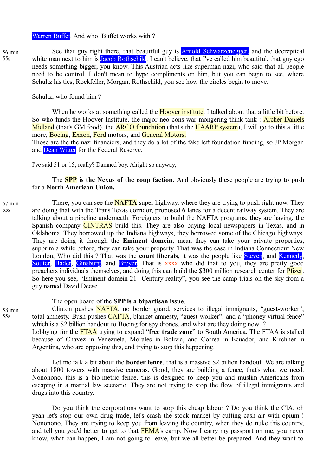#### Warren Buffet. And who Buffet works with?

56 min 55s

See that guy right there, that beautiful guy is **Arnold Schwarzenegger**, and the decreptical white man next to him is **Jacob Rothschild**. I can't believe, that I've called him beautiful, that guy ego needs something bigger, you know. This Austrian acts like superman nazi, who said that all people need to be control. I don't mean to hype compliments on him, but you can begin to see, where Schultz his ties, Rockfeller, Morgan, Rothschild, you see how the circles begin to move.

Schultz, who found him ?

When he works at something called the **Hoover institute**. I talked about that a little bit before. So who funds the Hoover Institute, the major neo-cons war mongering think tank: **Archer Daniels** Midland (that's GM food), the **ARCO foundation** (that's the **HAARP** system). I will go to this a little more, Boeing, Exxon, Ford motors, and General Motors.

Those are the the nazi financiers, and they do a lot of the fake left foundation funding, so JP Morgan and Dean Witter for the Federal Reserve.

I've said 51 or 15, really? Damned boy. Alright so anyway,

The **SPP is the Nexus of the coup faction.** And obviously these people are trying to push for a **North American Union.**

57 min 55s

There, you can see the **NAFTA** super highway, where they are trying to push right now. They are doing that with the Trans Texas corridor, proposed 6 lanes for a decent railway system. They are talking about a pipeline underneath. Foreigners to build the NAFTA programs, they are having, the Spanish company CINTRAS build this. They are also buying local newspapers in Texas, and in Oklahoma. They borrowed up the Indiana highways, they borrowed some of the Chicago highways. They are doing it through the **Eminent domein**, mean they can take your private properties, supprim a while before, they can take your property. That was the case in Indiana Connecticut New London, Who did this ? That was the **court liberals**, it was the people like **Steven**, and **Kennedy**, Souter, Bader, Ginsburg, and Breyer. That is xxxx who did that to you, they are pretty good preachers individuals themselves, and doing this can build the \$300 million research center for Pfizer. So here you see, "Eminent domein  $21<sup>st</sup>$  Century reality", you see the camp trials on the sky from a guy named David Deese.

The open board of the **SPP is a bipartisan issue**.

Clinton pushes NAFTA, no border guard, services to illegal immigrants, "guest-worker", total amnesty. Bush pushes CAFTA, blanket amnesty, "guest worker", and a "phoney virtual fence" which is a \$2 billion handout to Boeing for spy drones, and what are they doing now ?

Lobbying for the FTAA trying to expand "**free trade zone**" to South America. The FTAA is stalled because of Chavez in Venezuela, Morales in Bolivia, and Correa in Ecuador, and Kirchner in Argentina, who are opposing this, and trying to stop this happening.

Let me talk a bit about the **border fence**, that is a massive \$2 billion handout. We are talking about 1800 towers with massive cameras. Good, they are building a fence, that's what we need. Nononono, this is a bio-metric fence, this is designed to keep you and muslim Americans from escaping in a martial law scenario. They are not trying to stop the flow of illegal immigrants and drugs into this country.

Do you think the corporations want to stop this cheap labour ? Do you think the CIA, oh yeah let's stop our own drug trade, let's crash the stock market by cutting cash air with opium ! Nononono. They are trying to keep you from leaving the country, when they do nuke this country, and tell you you'd better to get to that **FEMA**'s camp. Now I carry my passport on me, you never know, what can happen, I am not going to leave, but we all better be prepared. And they want to

58 min 55s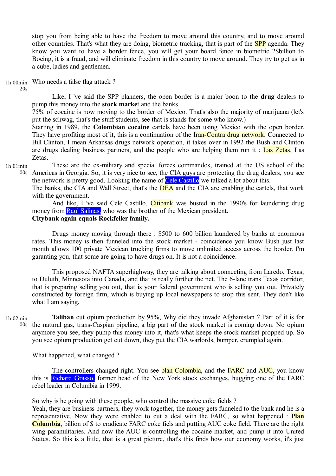stop you from being able to have the freedom to move around this country, and to move around other countries. That's what they are doing, biometric tracking, that is part of the **SPP** agenda. They know you want to have a border fence, you will get your board fence in biometric 2\$billion to Boeing, it is a fraud, and will eliminate freedom in this country to move around. They try to get us in a cube, ladies and gentlemen.

Who needs a false flag attack ? 1h 00min

Like, I 've said the SPP planners, the open border is a major boon to the **drug** dealers to pump this money into the **stock marke**t and the banks.

75% of cocaine is now moving to the border of Mexico. That's also the majority of marijuana (let's put the schwag, that's the stuff students, see that is stands for some who know.)

Starting in 1989, the **Colombian cocaine** cartels have been using Mexico with the open border. They have profiting most of it, this is a continuation of the **Iran-Contra drug network.** Connected to Bill Clinton, I mean Arkansas drugs network operation, it takes over in 1992 the Bush and Clinton are drugs dealing business partners, and the people who are helping them run it : Las Zetas, Las Zetas.

1h 01min

20s

These are the ex-military and special forces commandos, trained at the US school of the Americas in Georgia. So, it is very nice to see, the CIA guys are protecting the drug dealers, you see 00s the network is pretty good. Looking the name of Cele Castillo we talked a lot about this.

The banks, the CIA and Wall Street, that's the **DEA** and the CIA are enabling the cartels, that work with the government.

And like, I 've said Cele Castillo, *Citibank* was busted in the 1990's for laundering drug money from Raul Salinas, who was the brother of the Mexican president. **Citybank again equals Rockfeller family.**

Drugs money moving through there : \$500 to 600 billion laundered by banks at enormous rates. This money is then funneled into the stock market - coincidence you know Bush just last month allows 100 private Mexican trucking firms to move unlimited access across the border. I'm garanting you, that some are going to have drugs on. It is not a coincidence.

This proposed NAFTA superhighway, they are talking about connecting from Laredo, Texas, to Duluth, Minnesota into Canada, and that is really further the net. The 6-lane trans Texas corridor, that is preparing selling you out, that is your federal government who is selling you out. Privately constructed by foreign firm, which is buying up local newspapers to stop this sent. They don't like what I am saying.

**Taliban** cut opium production by 95%, Why did they invade Afghanistan ? Part of it is for 00s the natural gas, trans-Caspian pipeline, a big part of the stock market is coming down. No opium anymore you see, they pump this money into it, that's what keeps the stock market propped up. So you see opium production get cut down, they put the CIA warlords, bumper, crumpled again. 1h 02min

What happened, what changed ?

The controllers changed right. You see plan Colombia, and the FARC and AUC, you know this is Richard Grasso, former head of the New York stock exchanges, hugging one of the FARC rebel leader in Columbia in 1999.

So why is he going with these people, who control the massive coke fields ?

Yeah, they are business partners, they work together, the money gets funneled to the bank and he is a representative. Now they were enabled to cut a deal with the FARC, so what happened : **Plan Columbia**, billion of \$ to eradicate FARC coke fiels and putting AUC coke field. There are the right wing paramilitaries. And now the AUC is controlling the cocaine market, and pump it into United States. So this is a little, that is a great picture, that's this finds how our economy works, it's just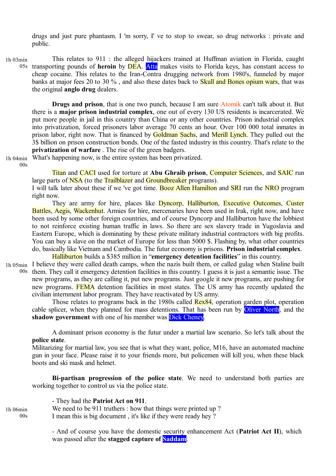drugs and just pure phantasm. I 'm sorry, I' ve to stop to swear, so drug networks : private and public.

This relates to 911 : the alleged hijackers trained at Huffman aviation in Florida, caught transporting pounds of **heroin** by DEA. Atta makes visits to Florida keys, has constant access to cheap cocaine. This relates to the Iran-Contra drugging network from 1980's, funneled by major banks at major fees 20 to 30 %, and also these dates back to **Skull and Bones opium wars**, that was the original **anglo drug** dealers. 1h 03min  $05s$ 

**Drugs and prison**, that is one two punch, because I am sure Atomik can't talk about it. But there is a **major prison industrial complex**, one out of every 130 US residents is incarcerated. We put more people in jail in this country than China or any other countries. Prison industrial complex into privatization, forced prisoners labor average 70 cents an hour. Over 100 000 total inmates in prison labor, right now. That is financed by Goldman Sachs, and Merill Lynch. They pulled out the 3\$ billion on prison construction bonds. One of the fasted industry in this country. That's relate to the **privatization of warfare** . The rise of the green badgers.

1h 04min  $00s$ 

What's happening now, is the entire system has been privatized.

Titan and CACI used for torture at **Abu Ghraib prison**, Computer Sciences, and SAIC run large parts of NSA (to the Trailblazer and Groundbreaker programs).

I will talk later about these if we 've got time. Booz Allen Hamilton and **SRI** run the NRO program right now.

They are army for hire, places like Dyncorp, Halliburton, Executive Outcomes, Custer Battles, Aegis, Wackenhut. Armies for hire, mercenaries have been used in Irak, right now, and have been used by some other foreign countries, and of course Dyncorp and Halliburton have the lobbiest to not reinforce existing human traffic in laws. So there are sex slavery trade in Yugoslavia and Eastern Europe, which is dominating by these private military industrial contractors with big profits. You can buy a slave on the market of Europe for less than 5000 \$. Flashing by, what other countries do, basically like Vietnam and Cambodia. The futur economy is prisons. **Prison industrial complex**.

Halliburton builds a \$385 million in "**emergency detention facilities**" in this country.

1h 05min I believe they were called death camps, when the nazis built them, or called gulag when Staline built 00s them. They call it emergency detention facilities in this country. I guess it is just a semantic issue. The new programs, as they are calling it, put new programs. Just google it new programs, are pushing for new programs. FEMA detention facilities in most states. The US army has recently updated the civilian internment labor program. They have reactivated by US army.

Those relates to programs back in the 1980s called Rex84, operation garden plot, operation cable splicer, when they planned for mass detentions. That has been run by Oliver North, and the **shadow government** with one of his member was **Dick Cheney**.

A dominant prison economy is the futur under a martial law scenario. So let's talk about the **police state**.

Militarizing for martial law, you see that is what they want, police, M16, have an automated machine gun in your face. Please raise it to your friends more, but policemen will kill you, when these black boots and ski mask and helmet.

**Bi-partisan progression of the police state**. We need to understand both parties are working together to control us via the police state.

- They had the **Patriot Act on 911**. We need to be 911 truthers : how that things were printed up ? I mean this is big document , it's like if they were ready hey ? 1h 06min  $00s$ 

> - And of course you have the domestic security enhancement Act (**Patriot Act II**), which was passed after the **stagged capture of Saddam**.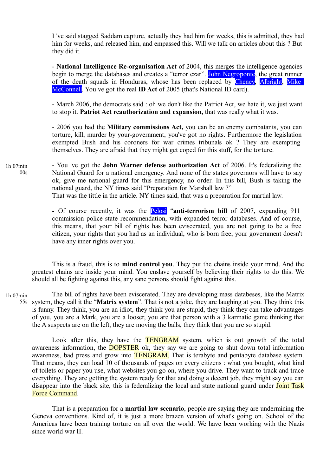I 've said stagged Saddam capture, actually they had him for weeks, this is admitted, they had him for weeks, and released him, and empassed this. Will we talk on articles about this ? But they did it.

**- National Intelligence Re-organisation Act** of 2004, this merges the intelligence agencies begin to merge the databases and creates a "terror czar". John Negroponte, the great runner of the death squads in Honduras, whose has been replaced by Cheney, Albright, Mike McConnell. You ve got the real **ID Act** of 2005 (that's National ID card).

- March 2006, the democrats said : oh we don't like the Patriot Act, we hate it, we just want to stop it. **Patriot Act reauthorization and expansion,** that was really what it was.

- 2006 you had the **Military commissions Act,** you can be an enemy combatants, you can torture, kill, murder by your-government, you've got no rights. Furthermore the legislation exempted Bush and his coroners for war crimes tribunals ok ? They are exempting themselves. They are afraid that they might get coped for this stuff, for the torture.

- You 've got the **John Warner defense authorization Act** of 2006. It's federalizing the National Guard for a national emergency. And none of the states governors will have to say ok, give me national guard for this emergency, no order. In this bill, Bush is taking the national guard, the NY times said "Preparation for Marshall law ?" That was the tittle in the article. NY times said, that was a preparation for martial law. 1h 07min  $0<sub>0</sub>$ 

> - Of course recently, it was the Pelosi "**anti-terrorism bill** of 2007, expanding 911 commission police state recommendation, with expanded terror databases. And of course, this means, that your bill of rights has been eviscerated, you are not going to be a free citizen, your rights that you had as an individual, who is born free, your government doesn't have any inner rights over you.

This is a fraud, this is to **mind control you**. They put the chains inside your mind. And the greatest chains are inside your mind. You enslave yourself by believing their rights to do this. We should all be fighting against this, any sane persons should fight against this.

The bill of rights have been eviscerated. They are developing mass databeses, like the Matrix system, they call it the "**Matrix system**". That is not a joke, they are laughing at you. They think this 55sis funny. They think, you are an idiot, they think you are stupid, they think they can take advantages of you, you are a Mark, you are a looser, you are that person with a 3 karmatic game thinking that the A suspects are on the left, they are moving the balls, they think that you are so stupid. 1h 07min

Look after this, they have the **TENGRAM** system, which is out growth of the total awareness information, the **DOPSTER** ok, they say we are going to shut down total information awareness, bad press and grow into **TENGRAM**. That is terabyte and pentabyte database system. That means, they can load 10 of thousands of pages on every citizens : what you bought, what kind of toilets or paper you use, what websites you go on, where you drive. They want to track and trace everything. They are getting the system ready for that and doing a decent job, they might say you can disappear into the black site, this is federalizing the local and state national guard under Joint Task Force Command.

That is a preparation for a **martial law scenario**, people are saying they are undermining the Geneva conventions. Kind of, it is just a more brazen version of what's going on. School of the Americas have been training torture on all over the world. We have been working with the Nazis since world war II.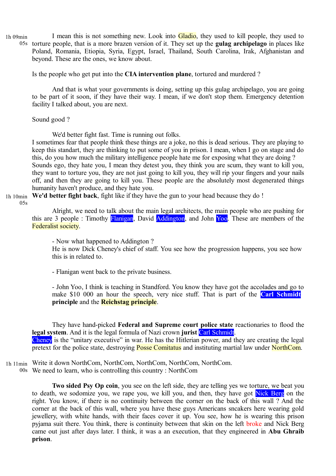I mean this is not something new. Look into **Gladio**, they used to kill people, they used to 05s torture people, that is a more brazen version of it. They set up the **gulag archipelago** in places like Poland, Romania, Etiopia, Syria, Egypt, Israel, Thailand, South Carolina, Irak, Afghanistan and beyond. These are the ones, we know about. 1h 09min

Is the people who get put into the **CIA intervention plane**, tortured and murdered ?

And that is what your governments is doing, setting up this gulag archipelago, you are going to be part of it soon, if they have their way. I mean, if we don't stop them. Emergency detention facility I talked about, you are next.

Sound good ?

We'd better fight fast. Time is running out folks.

I sometimes fear that people think these things are a joke, no this is dead serious. They are playing to keep this standart, they are thinking to put some of you in prison. I mean, when I go on stage and do this, do you how much the military intelligence people hate me for exposing what they are doing ? Sounds ego, they hate you, I mean they detest you, they think you are scum, they want to kill you, they want to torture you, they are not just going to kill you, they will rip your fingers and your nails off, and then they are going to kill you. These people are the absolutely most degenerated things humanity haven't produce, and they hate you.

**We'd better fight back**, fight like if they have the gun to your head because they do ! 1h 10min

 $05s$ 

Alright, we need to talk about the main legal architects, the main people who are pushing for this are 3 people : Timothy Flanigan, David Addington, and John Yoo. These are members of the Federalist society.

- Now what happened to Addington ?

He is now Dick Cheney's chief of staff. You see how the progression happens, you see how this is in related to.

- Flanigan went back to the private business.

- John Yoo, I think is teaching in Standford. You know they have got the accolades and go to make \$10 000 an hour the speech, very nice stuff. That is part of the **Carl Schmidt principle** and the **Reichstag principle**.

They have hand-picked **Federal and Supreme court police state** reactionaries to flood the **legal system**. And it is the legal formula of Nazi crown **jurist** Carl Schmidt.

Cheney is the "unitary executive" in war. He has the Hitlerian power, and they are creating the legal pretext for the police state, destroying **Posse Comitatus** and instituting martial law under **NorthCom**.

Write it down NorthCom, NorthCom, NorthCom, NorthCom, NorthCom. 1h 11min

We need to learn, who is controlling this country : NorthCom 00s

**Two sided Psy Op coin**, you see on the left side, they are telling yes we torture, we beat you to death, we sodomize you, we rape you, we kill you, and then, they have got Nick Berg on the right. You know, if there is no continuity between the corner on the back of this wall ? And the corner at the back of this wall, where you have these guys Americans sncakers here wearing gold jewellery, with white hands, with their faces cover it up. You see, how he is wearing this prison pyjama suit there. You think, there is continuity between that skin on the left broke and Nick Berg came out just after days later. I think, it was a an execution, that they engineered in **Abu Ghraib prison**.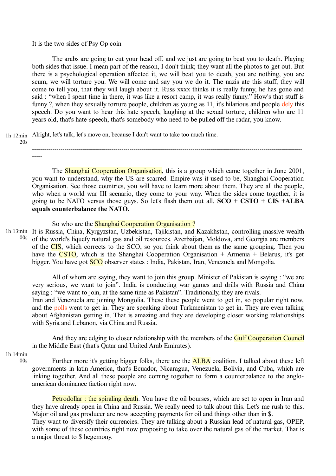### It is the two sides of Psy Op coin

The arabs are going to cut your head off, and we just are going to beat you to death. Playing both sides that issue. I mean part of the reason, I don't think; they want all the photos to get out. But there is a psychological operation affected it, we will beat you to death, you are nothing, you are scum, we will torture you. We will come and say you we do it. The nazis ate this stuff, they will come to tell you, that they will laugh about it. Russ xxxx thinks it is really funny, he has gone and said : "when I spent time in there, it was like a resort camp, it was really funny." How's that stuff is funny ?, when they sexually torture people, children as young as 11, it's hilarious and people dely this speech. Do you want to hear this hate speech, laughing at the sexual torture, children who are 11 years old, that's hate-speech, that's somebody who need to be pulled off the radar, you know.

Alright, let's talk, let's move on, because I don't want to take too much time. 1h 12min

 $20s$ 

------------------------------------------------------------------------------------------------------------------------------------- -----

The Shanghai Cooperation Organisation, this is a group which came together in June 2001, you want to understand, why the US are scarred. Empire was it used to be, Shanghai Cooperation Organisation. See those countries, you will have to learn more about them. They are all the people, who when a world war III scenario, they come to your way. When the sides come together, it is going to be NATO versus those guys. So let's flash them out all. **SCO + CSTO + CIS +ALBA equals counterbalance the NATO.**

### So who are the **Shanghai Cooperation Organisation**?

1h 13min It is Russia, China, Kyrgyzstan, Uzbekistan, Tajikistan, and Kazakhstan, controlling massive wealth of the world's liquefy natural gas and oil resources. Azerbaijan, Moldova, and Georgia are members of the CIS, which corrects to the SCO, so you think about them as the same grouping. Then you have the CSTO, which is the Shanghai Cooperation Organisation  $+$  Armenia  $+$  Belarus, it's get bigger. You have got **SCO** observer states : India, Pakistan, Iran, Venezuela and Mongolia. 00s

All of whom are saying, they want to join this group. Minister of Pakistan is saying : "we are very serious, we want to join". India is conducting war games and drills with Russia and China saying : "we want to join, at the same time as Pakistan". Traditionally, they are rivals.

Iran and Venezuela are joining Mongolia. These these people went to get in, so popular right now, and the polls went to get in. They are speaking about Turkmenistan to get in. They are even talking about Afghanistan getting in. That is amazing and they are developing closer working relationships with Syria and Lebanon, via China and Russia.

And they are edging to closer relationship with the members of the **Gulf Cooperation Council** in the Middle East (that's Qatar and United Arab Emirates).

1h 14min

 $00s$ 

Further more it's getting bigger folks, there are the **ALBA** coalition. I talked about these left governments in latin America, that's Ecuador, Nicaragua, Venezuela, Bolivia, and Cuba, which are linking together. And all these people are coming together to form a counterbalance to the angloamerican dominance faction right now.

Petrodollar : the spiraling death. You have the oil bourses, which are set to open in Iran and they have already open in China and Russia. We really need to talk about this. Let's me rush to this. Major oil and gas producer are now accepting payments for oil and things other than in \$.

They want to diversify their currencies. They are talking about a Russian lead of natural gas, OPEP, with some of these countries right now proposing to take over the natural gas of the market. That is a major threat to \$ hegemony.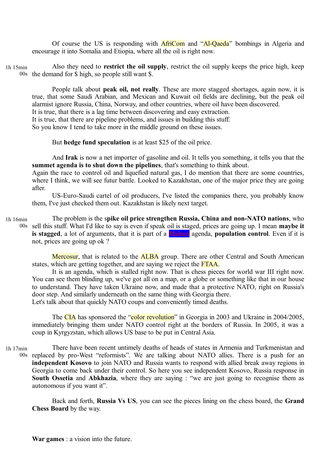Of course the US is responding with **AfriCom** and "Al-Qaeda" bombings in Algeria and encourage it into Somalia and Etiopia, where all the oil is right now.

Also they need to **restrict the oil supply**, restrict the oil supply keeps the price high, keep 00s the demand for  $\$$  high, so people still want  $\$$ . 1h 15min

People talk about **peak oil, not really**. These are more stagged shortages, again now, it is true, that some Saudi Arabian, and Mexican and Kuwait oil fields are declining, but the peak oil alarmist ignore Russia, China, Norway, and other countries, where oil have been discovered.

It is true, that there is a lag time between discovering and easy extraction.

It is true, that there are pipeline problems, and issues in building this stuff.

So you know I tend to take more in the middle ground on these issues.

But **hedge fund speculation** is at least \$25 of the oil price.

And **Irak** is now a net importer of gasoline and oil. It tells you something, it tells you that the **summet agenda is to shut down the pipelines**, that's something to think about.

Again the race to control oil and liquefied natural gas, I do mention that there are some countries, where I think, we will see futur battle. Looked to Kazakhstan, one of the major price they are going after.

US-Euro-Saudi cartel of oil producers, I've listed the companies there, you probably know them, I've just checked them out. Kazakhstan is likely next target.

The problem is the s**pike oil price strengthen Russia, China and non-NATO nations**, who sell this stuff. What I'd like to say is even if speak oil is staged, prices are going up. I mean **maybe it** 00s is stagged, a lot of arguments, that it is part of a **Maltuzi** agenda, **population control**. Even if it is not, prices are going up ok ? 1h 16min

Mercosur, that is related to the **ALBA** group. There are other Central and South American states, which are getting together, and are saying we reject the FTAA.

It is an agenda, which is stalled right now. That is chess pieces for world war III right now. You can see them blinding up, we've got all on a map, or a globe or something like that in our house to understand. They have taken Ukraine now, and made that a protective NATO, right on Russia's door step. And similarly underneath on the same thing with Georgia there. Let's talk about that quickly NATO coups and conveniently timed deaths.

The CIA has sponsored the "color revolution" in Georgia in 2003 and Ukraine in 2004/2005, immediately bringing them under NATO control right at the borders of Russia. In 2005, it was a coup in Kyrgyzstan, which allows US base to be put in Central Asia.

There have been recent untimely deaths of heads of states in Armenia and Turkmenistan and 00s replaced by pro-West "reformists". We are talking about NATO allies. There is a push for an **independent Kosovo** to join NATO and Russia wants to respond with allied break away regions in Georgia to come back under their control. So here you see independent Kosovo, Russia response in **South Ossetia** and **Abkhazia**, where they are saying : "we are just going to recognise them as autonomous if you want it". 1h 17min

Back and forth, **Russia Vs US**, you can see the pieces lining on the chess board, the **Grand Chess Board** by the way.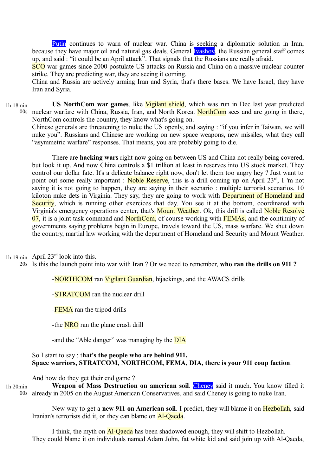Putin continues to warn of nuclear war. China is seeking a diplomatic solution in Iran, because they have major oil and natural gas deals. General **Ivashov**, the Russian general staff comes up, and said : "it could be an April attack". That signals that the Russians are really afraid.

SCO war games since 2000 postulate US attacks on Russia and China on a massive nuclear counter strike. They are predicting war, they are seeing it coming.

China and Russia are actively arming Iran and Syria, that's there bases. We have Israel, they have Iran and Syria.

**US NorthCom war games**, like Vigilant shield, which was run in Dec last year predicted 00s nuclear warfare with China, Russia, Iran, and North Korea. NorthCom sees and are going in there, NorthCom controls the country, they know what's going on. 1h 18min

Chinese generals are threatening to nuke the US openly, and saying : "if you infer in Taiwan, we will nuke you". Russians and Chinese are working on new space weapons, new missiles, what they call "asymmetric warfare" responses. That means, you are probably going to die.

There are **hacking wars** right now going on between US and China not really being covered, but look it up. And now China controls a \$1 trillion at least in reserves into US stock market. They control our dollar fate. It's a delicate balance right now, don't let them too angry hey ? Just want to point out some really important : Noble Reserve, this is a drill coming up on April  $23^{rd}$ , I 'm not saying it is not going to happen, they are saying in their scenario : multiple terrorist scenarios, 10 kiloton nuke dets in Virginia. They say, they are going to work with Department of Homeland and Security, which is running other exercices that day. You see it at the bottom, coordinated with Virginia's emergency operations center, that's **Mount Weather**. Ok, this drill is called Noble Resolve 07, it is a joint task command and NorthCom, of course working with FEMAs, and the continuity of governments saying problems begin in Europe, travels toward the US, mass warfare. We shut down the country, martial law working with the department of Homeland and Security and Mount Weather.

1h 19min April 23<sup>rd</sup> look into this.

Is this the launch point into war with Iran ? Or we need to remember, **who ran the drills on 911 ?** 20s

-**NORTHCOM** ran Vigilant Guardian, hijackings, and the AWACS drills

-**STRATCOM** ran the nuclear drill

-**FEMA** ran the tripod drills

-the NRO ran the plane crash drill

-and the "Able danger" was managing by the **DIA** 

# So I start to say : t**hat's the people who are behind 911. Space warriors, STRATCOM, NORTHCOM, FEMA, DIA, there is your 911 coup faction**.

And how do they get their end game ?

Weapon of Mass Destruction on american soil. Cheney said it much. You know filled it already in 2005 on the August American Conservatives, and said Cheney is going to nuke Iran. 00s1h 20min

New way to get a **new 911 on American soil**. I predict, they will blame it on Hezbollah, said Iranian's terrorists did it, or they can blame on Al-Qaeda.

I think, the myth on Al-Qaeda has been shadowed enough, they will shift to Hezbollah. They could blame it on individuals named Adam John, fat white kid and said join up with Al-Qaeda,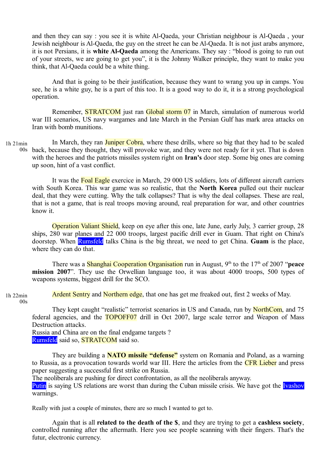and then they can say : you see it is white Al-Qaeda, your Christian neighbour is Al-Qaeda , your Jewish neighbour is Al-Qaeda, the guy on the street he can be Al-Qaeda. It is not just arabs anymore, it is not Persians, it is **white Al-Qaeda** among the Americans. They say : "blood is going to run out of your streets, we are going to get you", it is the Johnny Walker principle, they want to make you think, that Al-Qaeda could be a white thing.

And that is going to be their justification, because they want to wrang you up in camps. You see, he is a white guy, he is a part of this too. It is a good way to do it, it is a strong psychological operation.

Remember, STRATCOM just ran Global storm 07 in March, simulation of numerous world war III scenarios, US navy wargames and late March in the Persian Gulf has mark area attacks on Iran with bomb munitions.

In March, they ran **Juniper Cobra**, where these drills, where so big that they had to be scaled back, because they thought, they will provoke war, and they were not ready for it yet. That is down 00s with the heroes and the patriots missiles system right on **Iran's** door step. Some big ones are coming up soon, hint of a vast conflict. 1h 21min

It was the Foal Eagle exercice in March, 29 000 US soldiers, lots of different aircraft carriers with South Korea. This war game was so realistic, that the **North Korea** pulled out their nuclear deal, that they were cutting. Why the talk collapses? That is why the deal collapses. These are real, that is not a game, that is real troops moving around, real preparation for war, and other countries know it.

Operation Valiant Shield, keep on eye after this one, late June, early July, 3 carrier group, 28 ships, 280 war planes and 22 000 troops, largest pacific drill ever in Guam. That right on China's doorstep. When Rumsfeld talks China is the big threat, we need to get China. **Guam** is the place, where they can do that.

There was a **Shanghai Cooperation Organisation** run in August, 9<sup>th</sup> to the 17<sup>th</sup> of 2007 "**peace mission 2007**". They use the Orwellian language too, it was about 4000 troops, 500 types of weapons systems, biggest drill for the SCO.

Ardent Sentry and Northern edge, that one has get me freaked out, first 2 weeks of May. 1h 22min  $00s$ 

They kept caught "realistic" terrorist scenarios in US and Canada, run by NorthCom, and 75 federal agencies, and the TOPOFF07 drill in Oct 2007, large scale terror and Weapon of Mass Destruction attacks.

Russia and China are on the final endgame targets ? Rumsfeld said so, **STRATCOM** said so.

They are building a **NATO missile "defense"** system on Romania and Poland, as a warning to Russia, as a provocation towards world war III. Here the articles from the **CFR Lieber** and press paper suggesting a successful first strike on Russia.

The neoliberals are pushing for direct confrontation, as all the neoliberals anyway.

Putin is saying US relations are worst than during the Cuban missile crisis. We have got the **Ivashov** warnings.

Really with just a couple of minutes, there are so much I wanted to get to.

Again that is all **related to the death of the \$**, and they are trying to get a **cashless society**, controlled running after the aftermath. Here you see people scanning with their fingers. That's the futur, electronic currency.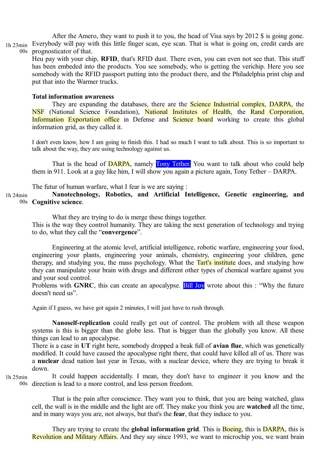After the Amero, they want to push it to you, the head of Visa says by 2012 \$ is going gone. Everybody will pay with this little finger scan, eye scan. That is what is going on, credit cards are prognosticator of that. 1h 23min  $00s$ 

Heu pay with your chip, **RFID**, that's RFID dust. There even, you can even not see that. This stuff has been embeded into the products. You see somebody, who is getting the verichip. Here you see somebody with the RFID passport putting into the product there, and the Philadelphia print chip and put that into the Warmer trucks.

### **Total information awareness**

They are expanding the databases, there are the **Science Industrial complex**. **DARPA**, the NSF (National Science Foundation), National Institutes of Health, the Rand Corporation, Information Exportation office in Defense and Science board working to create this global information grid, as they called it.

I don't even know, how I am going to finish this. I had so much I want to talk about. This is so important to talk about the way, they are using technology against us.

That is the head of **DARPA**, namely **Tony Tether.** You want to talk about who could help them in 911. Look at a guy like him, I will show you again a picture again, Tony Tether – DARPA.

The futur of human warfare, what I fear is we are saying :

**Nanotechnology, Robotics, and Artificial Intelligence, Genetic engineering, and Cognitive science**. 00s 1h 24min

What they are trying to do is merge these things together.

This is the way they control humanity. They are taking the next generation of technology and trying to do, what they call the "**convergence**".

Engineering at the atomic level, artificial intelligence, robotic warfare, engineering your food, engineering your plants, engineering your animals, chemistry, engineering your children, gene therapy, and studying you, the mass psychology. What the Tart's institute does, and studying how they can manipulate your brain with drugs and different other types of chemical warfare against you and your soul control.

Problems with **GNRC**, this can create an apocalypse. **Bill Joy** wrote about this : "Why the future doesn't need us".

Again if I guess, we have got again 2 minutes, I will just have to rush through.

**Nanoself-replication** could really get out of control. The problem with all these weapon systems is this is bigger than the globe less. That is bigger than the globally you know. All these things can lead to an apocalypse.

There is a case in **UT** right here, somebody dropped a beak full of **avian flue**, which was genetically modified. It could have caused the apocalypse right there, that could have killed all of us. There was a **nuclear** dead nation last year in Texas, with a nuclear device, where they are trying to break it down.

1h 25min

It could happen accidentally. I mean, they don't have to engineer it you know and the direction is lead to a more control, and less person freedom. 00s

That is the pain after conscience. They want you to think, that you are being watched, glass cell, the wall is in the middle and the light are off. They make you think you are **watched** all the time, and in many ways you are, not always, but that's the **fear**, that they induce to you.

They are trying to create the **global information grid**. This is **Boeing**, this is **DARPA**, this is Revolution and Military Affairs. And they say since 1993, we want to microchip you, we want brain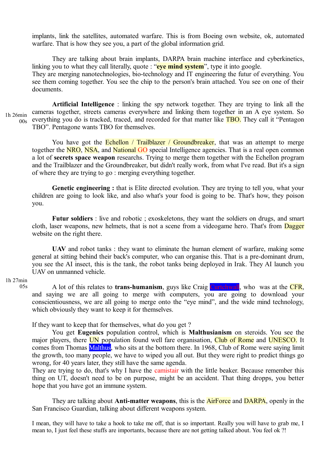implants, link the satellites, automated warfare. This is from Boeing own website, ok, automated warfare. That is how they see you, a part of the global information grid.

They are talking about brain implants, DARPA brain machine interface and cyberkinetics, linking you to what they call literally, quote : "**eye mind system**", type it into google. They are merging nanotechnologies, bio-technology and IT engineering the futur of everything. You see them coming together. You see the chip to the person's brain attached. You see on one of their documents.

**Artificial Intelligence** : linking the spy network together. They are trying to link all the cameras together, streets cameras everywhere and linking them together in an A eye system. So everything you do is tracked, traced, and recorded for that matter like **TBO**. They call it "Pentagon TBO". Pentagone wants TBO for themselves. 1h 26min 00s

You have got the Echellon / Trailblazer / Groundbreaker, that was an attempt to merge together the NRO, NSA, and National GO special Intelligence agencies. That is a real open common a lot of **secrets space weapon** researchs. Trying to merge them together with the Echellon program and the Trailblazer and the Groundbreaker, but didn't really work, from what I've read. But it's a sign of where they are trying to go : merging everything together.

**Genetic engineering :** that is Elite directed evolution. They are trying to tell you, what your children are going to look like, and also what's your food is going to be. That's how, they poison you.

Futur soldiers : live and robotic ; exoskeletons, they want the soldiers on drugs, and smart cloth, laser weapons, new helmets, that is not a scene from a videogame hero. That's from **Dagger** website on the right there.

**UAV** and robot tanks : they want to eliminate the human element of warfare, making some general at sitting behind their back's computer, who can organise this. That is a pre-dominant drum, you see the AI insect, this is the tank, the robot tanks being deployed in Irak. They AI launch you UAV on unmanned vehicle.

#### 1h 27min  $05s$

A lot of this relates to **trans-humanism**, guys like Craig Curtchwall, who was at the CFR, and saying we are all going to merge with computers, you are going to download your conscientiousness, we are all going to merge onto the "eye mind", and the wide mind technology, which obviously they want to keep it for themselves.

If they want to keep that for themselves, what do you get ?

You get **Eugenics** population control, which is **Malthusianism** on steroids. You see the major players, there **UN** population found well fare organisation, **Club of Rome** and **UNESCO**. It comes from Thomas Malthus, who sits at the bottom there. In 1968, Club of Rome were saying limit the growth, too many people, we have to wiped you all out. But they were right to predict things go wrong, for 40 years later, they still have the same agenda.

They are trying to do, that's why I have the camistair with the little beaker. Because remember this thing on UT, doesn't need to be on purpose, might be an accident. That thing dropps, you better hope that you have got an immune system.

They are talking about **Anti-matter weapons**, this is the AirForce and DARPA, openly in the San Francisco Guardian, talking about different weapons system.

I mean, they will have to take a hook to take me off, that is so important. Really you will have to grab me, I mean to, I just feel these stuffs are importants, because there are not getting talked about. You feel ok ?!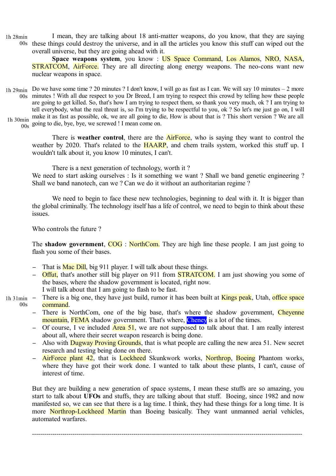I mean, they are talking about 18 anti-matter weapons, do you know, that they are saying these things could destroy the universe, and in all the articles you know this stuff can wiped out the overall universe, but they are going ahead with it. 1h 28min  $00s$ 

**Space weapons system**, you know : US Space Command, Los Alamos, NRO, NASA, **STRATCOM, AirForce.** They are all directing along energy weapons. The neo-cons want new nuclear weapons in space.

Do we have some time ? 20 minutes ? I don't know, I will go as fast as I can. We will say 10 minutes – 2 more 1h 29min minutes ! With all due respect to you Dr Breed, I am trying to respect this crowd by telling how these people 00s are going to get killed. So, that's how I am trying to respect them, so thank you very much, ok ? I am trying to tell everybody, what the real threat is, so I'm trying to be respectful to you, ok ? So let's me just go on, I will Ih 30min make it as fast as possible, ok, we are all going to die, How is about that is ? This short version ? We are all

 $\frac{m}{00s}$  going to die, bye, bye, we screwed ! I mean come on.

There is **weather control**, there are the AirForce, who is saying they want to control the weather by 2020. That's related to the **HAARP**, and chem trails system, worked this stuff up. I wouldn't talk about it, you know 10 minutes, I can't.

There is a next generation of technology, worth it ?

We need to start asking ourselves : Is it something we want ? Shall we band genetic engineering ? Shall we band nanotech, can we ? Can we do it without an authoritarian regime ?

We need to begin to face these new technologies, beginning to deal with it. It is bigger than the global criminally. The technology itself has a life of control, we need to begin to think about these issues.

Who controls the future ?

The **shadow government**, COG: NorthCom. They are high line these people. I am just going to flash you some of their bases.

- − That is Mac Dill, big 911 player. I will talk about these things.
- **Offut,** that's another still big player on 911 from **STRATCOM**. I am just showing you some of the bases, where the shadow government is located, right now. I will talk about that I am going to flash to be fast.
- There is a big one, they have just build, rumor it has been built at Kings peak, Utah, office space command.  $1h$  31min  $00s$ 
	- There is NorthCom, one of the big base, that's where the shadow government. Chevenne mountain, FEMA shadow government. That's where, Cheney is a lot of the times.
	- − Of course, I ve included Area 51, we are not supposed to talk about that. I am really interest about all, where their secret weapon research is being done.
	- − Also with Dugway Proving Grounds, that is what people are calling the new area 51. New secret research and testing being done on there.
	- **AirForce plant 42**, that is Lockheed Skunkwork works, Northrop, Boeing Phantom works, where they have got their work done. I wanted to talk about these plants, I can't, cause of interest of time.

But they are building a new generation of space systems, I mean these stuffs are so amazing, you start to talk about **UFOs** and stuffs, they are talking about that stuff. Boeing, since 1982 and now manifested so, we can see that there is a lag time. I think, they had these things for a long time. It is more Northrop-Lockheed Martin than Boeing basically. They want unmanned aerial vehicles, automated warfares.

-------------------------------------------------------------------------------------------------------------------------------------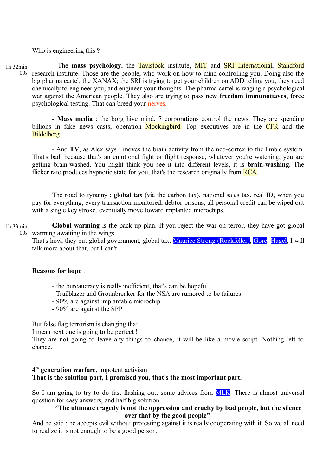Who is engineering this ?

-----

- The **mass psychology**, the Tavistock institute, MIT and SRI International, Standford 00s research institute. Those are the people, who work on how to mind controlling you. Doing also the big pharma cartel, the XANAX; the SRI is trying to get your children on ADD telling you, they need chemically to engineer you, and engineer your thoughts. The pharma cartel is waging a psychological war against the American people. They also are trying to pass new **freedom immunotiaves**, force psychological testing. That can breed your nerves. 1h 32min

- **Mass media** : the borg hive mind, 7 corporations control the news. They are spending billions in fake news casts, operation Mockingbird. Top executives are in the CFR and the Bildelberg.

- And **TV**, as Alex says : moves the brain activity from the neo-cortex to the limbic system. That's bad, because that's an emotional fight or flight response, whatever you're watching, you are getting brain-washed. You might think you see it into different levels, it is **brain-washing**. The flicker rate produces hypnotic state for you, that's the research originally from **RCA**.

The road to tyranny : **global tax** (via the carbon tax), national sales tax, real ID, when you pay for everything, every transaction monitored, debtor prisons, all personal credit can be wiped out with a single key stroke, eventually move toward implanted microchips.

**Global warming** is the back up plan. If you reject the war on terror, they have got global 00s warming awaiting in the wings. 1h 33min

That's how, they put global government, global tax. Maurice Strong (Rockfeller), Gore, Hagel, I will talk more about that, but I can't.

### **Reasons for hope** :

- the bureaucracy is really inefficient, that's can be hopeful.
- Trailblazer and Grounbreaker for the NSA are rumored to be failures.
- 90% are against implantable microchip
- 90% are against the SPP

But false flag terrorism is changing that.

I mean next one is going to be perfect !

They are not going to leave any things to chance, it will be like a movie script. Nothing left to chance.

# **4 th generation warfare**, impotent activism **That is the solution part, I promised you, that's the most important part.**

So I am going to try to do fast flashing out, some advices from **MLK**. There is almost universal question for easy answers, and half big solution.

# **"The ultimate tragedy is not the oppression and cruelty by bad people, but the silence over that by the good people"**

And he said : he accepts evil without protesting against it is really cooperating with it. So we all need to realize it is not enough to be a good person.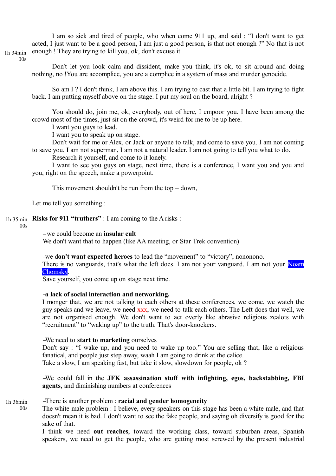I am so sick and tired of people, who when come 911 up, and said : "I don't want to get acted, I just want to be a good person, I am just a good person, is that not enough ?" No that is not enough ! They are trying to kill you, ok, don't excuse it.

1h 34min  $00s$ 

> Don't let you look calm and dissident, make you think, it's ok, to sit around and doing nothing, no !You are accomplice, you are a complice in a system of mass and murder genocide.

> So am I ? I don't think, I am above this. I am trying to cast that a little bit. I am trying to fight back. I am putting myself above on the stage. I put my soul on the board, alright ?

> You should do, join me, ok, everybody, out of here, I empoor you. I have been among the crowd most of the times, just sit on the crowd, it's weird for me to be up here.

I want you guys to lead.

I want you to speak up on stage.

Don't wait for me or Alex, or Jack or anyone to talk, and come to save you. I am not coming to save you, I am not superman, I am not a natural leader. I am not going to tell you what to do.

Research it yourself, and come to it lonely.

I want to see you guys on stage, next time, there is a conference, I want you and you and you, right on the speech, make a powerpoint.

This movement shouldn't be run from the top  $-$  down,

Let me tell you something :

1h 35min Risks for 911 "truthers" : I am coming to the A risks :

00s

− we could become an **insular cult**

We don't want that to happen (like AA meeting, or Star Trek convention)

−we d**on't want expected heroes** to lead the "movement" to "victory", nononono.

There is no vanguards, that's what the left does. I am not your vanguard. I am not your Noam Chomsky.

Save yourself, you come up on stage next time.

# −**a lack of social interaction and networking.**

I monger that, we are not talking to each others at these conferences, we come, we watch the guy speaks and we leave, we need xxx, we need to talk each others. The Left does that well, we are not organised enough. We don't want to act overly like abrasive religious zealots with "recruitment" to "waking up" to the truth. That's door-knockers.

# −We need to **start to marketing** ourselves

Don't say : "I wake up, and you need to wake up too." You are selling that, like a religious fanatical, and people just step away, waah I am going to drink at the calice.

Take a slow, I am speaking fast, but take it slow, slowdown for people, ok ?

−We could fall in the **JFK assassination stuff with infighting, egos, backstabbing, FBI agents**, and diminishing numbers at conferences

−There is another problem : **racial and gender homogeneity** 1h 36min  $0<sub>0</sub>$ 

The white male problem : I believe, every speakers on this stage has been a white male, and that doesn't mean it is bad. I don't want to see the fake people, and saying oh diversify is good for the sake of that.

I think we need **out reaches**, toward the working class, toward suburban areas, Spanish speakers, we need to get the people, who are getting most screwed by the present industrial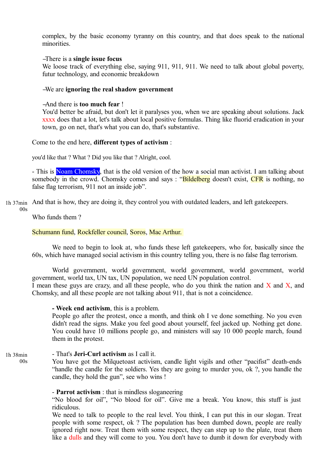complex, by the basic economy tyranny on this country, and that does speak to the national minorities.

# −There is a **single issue focus**

We loose track of everything else, saying 911, 911, 911. We need to talk about global poverty, futur technology, and economic breakdown

# −We are **ignoring the real shadow government**

−And there is **too much fear** !

You'd better be afraid, but don't let it paralyses you, when we are speaking about solutions. Jack xxxx does that a lot, let's talk about local positive formulas. Thing like fluorid eradication in your town, go on net, that's what you can do, that's substantive.

Come to the end here, **different types of activism** :

you'd like that ? What ? Did you like that ? Alright, cool.

- This is Noam Chomsky, that is the old version of the how a social man activist. I am talking about somebody in the crowd. Chomsky comes and says : "Bildelberg doesn't exist, CFR is nothing, no false flag terrorism, 911 not an inside job".

And that is how, they are doing it, they control you with outdated leaders, and left gatekeepers. 1h 37min

Who funds them ?

 $00s$ 

 $00s$ 

# Schumann fund, Rockfeller council, Soros, Mac Arthur.

We need to begin to look at, who funds these left gatekeepers, who for, basically since the 60s, which have managed social activism in this country telling you, there is no false flag terrorism.

World government, world government, world government, world government, world government, world tax, UN tax, UN population, we need UN population control. I mean these guys are crazy, and all these people, who do you think the nation and  $\overline{X}$  and  $\overline{X}$ , and Chomsky, and all these people are not talking about 911, that is not a coincidence.

### **- Week end activism**, this is a problem.

People go after the protest, once a month, and think oh I ve done something. No you even didn't read the signs. Make you feel good about yourself, feel jacked up. Nothing get done. You could have 10 millions people go, and ministers will say 10 000 people march, found them in the protest.

#### - That's **Jeri-Curl activism** as I call it. 1h 38min

You have got the Milquetoast activism, candle light vigils and other "pacifist" death-ends "handle the candle for the soldiers. Yes they are going to murder you, ok ?, you handle the candle, they hold the gun", see who wins !

# - **Parrot activism** : that is mindless sloganeering

"No blood for oil", "No blood for oil". Give me a break. You know, this stuff is just ridiculous.

We need to talk to people to the real level. You think, I can put this in our slogan. Treat people with some respect, ok ? The population has been dumbed down, people are really ignored right now. Treat them with some respect, they can step up to the plate, treat them like a dulls and they will come to you. You don't have to dumb it down for everybody with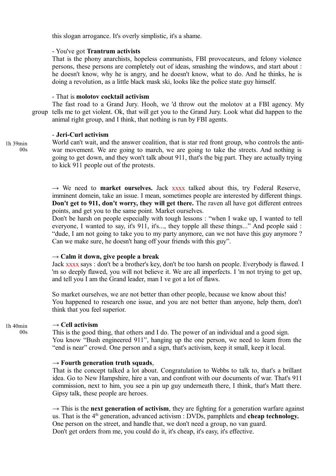this slogan arrogance. It's overly simplistic, it's a shame.

# - You've got **Trantrum activists**

That is the phony anarchists, hopeless communists, FBI provocateurs, and felony violence persons, these persons are completely out of ideas, smashing the windows, and start about : he doesn't know, why he is angry, and he doesn't know, what to do. And he thinks, he is doing a revolution, as a little black mask ski, looks like the police state guy himself.

# - That is **molotov cocktail activism**

The fast road to a Grand Jury. Hooh, we 'd throw out the molotov at a FBI agency. My group tells me to get violent. Ok, that will get you to the Grand Jury. Look what did happen to the animal right group, and I think, that nothing is run by FBI agents.

# - **Jeri-Curl activism**

1h 39min  $00s$ 

World can't wait, and the answer coalition, that is star red front group, who controls the antiwar movement. We are going to march, we are going to take the streets. And nothing is going to get down, and they won't talk about 911, that's the big part. They are actually trying to kick 911 people out of the protests.

 $\rightarrow$  We need to **market ourselves.** Jack xxxx talked about this, try Federal Reserve, imminent domein, take an issue. I mean, sometimes people are interested by different things. **Don't get to 911, don't worry, they will get there.** The raven all have got different entrees points, and get you to the same point. Market ourselves.

Don't be harsh on people especially with tough lessons : "when I wake up, I wanted to tell everyone, I wanted to say, it's 911, it's..., they topple all these things..." And people said : "dude, I am not going to take you to my party anymore, can we not have this guy anymore ? Can we make sure, he doesn't hang off your friends with this guy".

# $\rightarrow$  Calm it down, give people a break

Jack xxxx says : don't be a brother's key, don't be too harsh on people. Everybody is flawed. I 'm so deeply flawed, you will not believe it. We are all imperfects. I 'm not trying to get up, and tell you I am the Grand leader, man I ve got a lot of flaws.

So market ourselves, we are not better than other people, because we know about this! You happened to research one issue, and you are not better than anyone, help them, don't think that you feel superior.

#### **→ Cell activism** 1h 40min

This is the good thing, that others and I do. The power of an individual and a good sign. You know "Bush engineered 911", hanging up the one person, we need to learn from the "end is near" crowd. One person and a sign, that's activism, keep it small, keep it local.

# **→ Fourth generation truth squads**,

That is the concept talked a lot about. Congratulation to Webbs to talk to, that's a brillant idea. Go to New Hampshire, hire a van, and confront with our documents of war. That's 911 commission, next to him, you see a pin up guy underneath there, I think, that's Matt there. Gipsy talk, these people are heroes.

 $\rightarrow$  This is the **next generation of activism**, they are fighting for a generation warfare against us. That is the  $4<sup>th</sup>$  generation, advanced activism : DVDs, pamphlets and **cheap technology.** One person on the street, and handle that, we don't need a group, no van guard. Don't get orders from me, you could do it, it's cheap, it's easy, it's effective.

 $00s$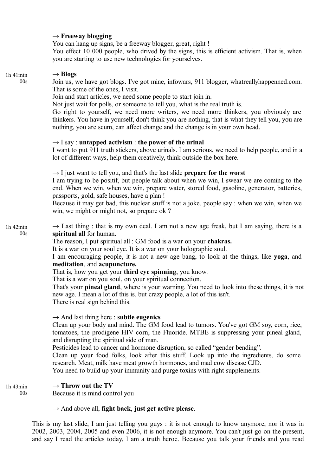# **→ Freeway blogging**

You can hang up signs, be a freeway blogger, great, right ! You effect 10 000 people, who drived by the signs, this is efficient activism. That is, when you are starting to use new technologies for yourselves.

# **→ Blogs** Join us, we have got blogs. I've got mine, infowars, 911 blogger, whatreallyhappenned.com. That is some of the ones, I visit. Join and start articles, we need some people to start join in. Not just wait for polls, or someone to tell you, what is the real truth is. Go right to yourself, we need more writers, we need more thinkers, you obviously are thinkers. You have in yourself, don't think you are nothing, that is what they tell you, you are nothing, you are scum, can affect change and the change is in your own head.  $\rightarrow$  I say : **untapped activism** : **the power of the urinal** I want to put 911 truth stickers, above urinals. I am serious, we need to help people, and in a lot of different ways, help them creatively, think outside the box here. **→** I just want to tell you, and that's the last slide **prepare for the worst** I am trying to be positif, but people talk about when we win, I swear we are coming to the end. When we win, when we win, prepare water, stored food, gasoline, generator, batteries, passports, gold, safe houses, have a plan ! Because it may get bad, this nuclear stuff is not a joke, people say : when we win, when we win, we might or might not, so prepare ok ?  $\rightarrow$  Last thing : that is my own deal. I am not a new age freak, but I am saying, there is a **spiritual all** for human. The reason, I put spiritual all : GM food is a war on your **chakras.** It is a war on your soul eye. It is a war on your holographic soul. I am encouraging people, it is not a new age bang, to look at the things, like **yoga**, and **meditation**, and **acupuncture.** That is, how you get your **third eye spinning**, you know. That is a war on you soul, on your spiritual connection. That's your **pineal gland**, where is your warning. You need to look into these things, it is not new age. I mean a lot of this is, but crazy people, a lot of this isn't. There is real sign behind this. **→** And last thing here : **subtle eugenics** Clean up your body and mind. The GM food lead to tumors. You've got GM soy, corn, rice, tomatoes, the prodigene HIV corn, the Fluoride. MTBE is suppressing your pineal gland, and disrupting the spiritual side of man. Pesticides lead to cancer and hormone disruption, so called "gender bending". Clean up your food folks, look after this stuff. Look up into the ingredients, do some research. Meat, milk have meat growth hormones, and mad cow disease CJD. You need to build up your immunity and purge toxins with right supplements.  $\rightarrow$  Throw out the TV Because it is mind control you **→** And above all, **fight back**, **just get active please**. 1h 41min  $00s$ 1h 42min  $00s$ 1h 43min  $00s$

This is my last slide, I am just telling you guys : it is not enough to know anymore, nor it was in 2002, 2003, 2004, 2005 and even 2006, it is not enough anymore. You can't just go on the present, and say I read the articles today, I am a truth heroe. Because you talk your friends and you read